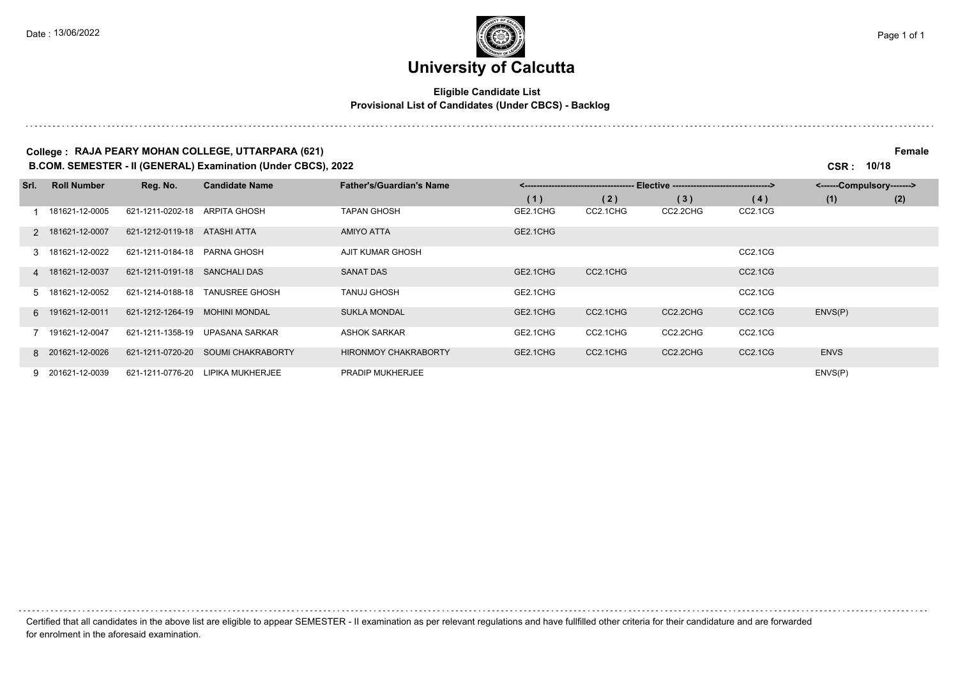### **University of Calcutta**

#### **Eligible Candidate List Provisional List of Candidates (Under CBCS) - Backlog**

#### **College : RAJA PEARY MOHAN COLLEGE, UTTARPARA (621) Female**

**B.COM. SEMESTER - II (GENERAL) Examination (Under CBCS), 2022 CSR : 10/18**

| Srl. | <b>Roll Number</b> | Reg. No.         | <b>Candidate Name</b>    | <b>Father's/Guardian's Name</b> | Elective -----------------------------------><br><------------------------------------- |          |          | <------Compulsory------->        |             |     |
|------|--------------------|------------------|--------------------------|---------------------------------|-----------------------------------------------------------------------------------------|----------|----------|----------------------------------|-------------|-----|
|      |                    |                  |                          |                                 | (1)                                                                                     | (2)      | (3)      | (4)                              | (1)         | (2) |
|      | 181621-12-0005     | 621-1211-0202-18 | ARPITA GHOSH             | <b>TAPAN GHOSH</b>              | GE2.1CHG                                                                                | CC2.1CHG | CC2.2CHG | CC2.1CG                          |             |     |
|      | 2 181621-12-0007   | 621-1212-0119-18 | ATASHI ATTA              | <b>AMIYO ATTA</b>               | GE2.1CHG                                                                                |          |          |                                  |             |     |
|      | 3 181621-12-0022   | 621-1211-0184-18 | <b>PARNA GHOSH</b>       | AJIT KUMAR GHOSH                |                                                                                         |          |          | CC2.1CG                          |             |     |
|      | 4 181621-12-0037   | 621-1211-0191-18 | <b>SANCHALI DAS</b>      | <b>SANAT DAS</b>                | GE2.1CHG                                                                                | CC2.1CHG |          | CC <sub>2.1</sub> C <sub>G</sub> |             |     |
|      | 5 181621-12-0052   | 621-1214-0188-18 | <b>TANUSREE GHOSH</b>    | <b>TANUJ GHOSH</b>              | GE2.1CHG                                                                                |          |          | CC2.1CG                          |             |     |
|      | 6 191621-12-0011   | 621-1212-1264-19 | <b>MOHINI MONDAL</b>     | <b>SUKLA MONDAL</b>             | GE2.1CHG                                                                                | CC2.1CHG | CC2.2CHG | CC <sub>2.1</sub> C <sub>G</sub> | ENVS(P)     |     |
|      | 191621-12-0047     | 621-1211-1358-19 | <b>UPASANA SARKAR</b>    | <b>ASHOK SARKAR</b>             | GE2.1CHG                                                                                | CC2.1CHG | CC2.2CHG | CC2.1CG                          |             |     |
|      | 8 201621-12-0026   | 621-1211-0720-20 | <b>SOUMI CHAKRABORTY</b> | <b>HIRONMOY CHAKRABORTY</b>     | GE2.1CHG                                                                                | CC2.1CHG | CC2.2CHG | CC2.1CG                          | <b>ENVS</b> |     |
|      | 9 201621-12-0039   | 621-1211-0776-20 | LIPIKA MUKHERJEE         | <b>PRADIP MUKHERJEE</b>         |                                                                                         |          |          |                                  | ENVS(P)     |     |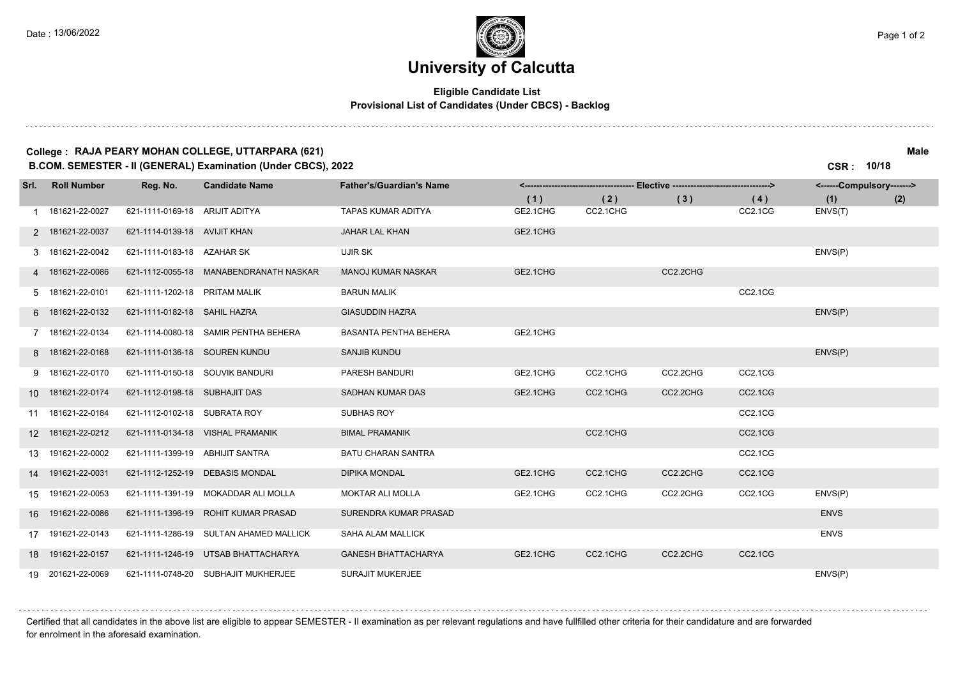### **University of Calcutta**

#### **Eligible Candidate List Provisional List of Candidates (Under CBCS) - Backlog**

#### **College : RAJA PEARY MOHAN COLLEGE, UTTARPARA (621) Male**

**B.COM. SEMESTER - II (GENERAL) Examination (Under CBCS), 2022 CSR : 10/18**

| Srl. | <b>Roll Number</b> | Reg. No.                        | <b>Candidate Name</b>                  | <b>Father's/Guardian's Name</b> | -- Elective ---------------------------------><br><------------------------------------ |          |          | <------Compulsory-------> |             |     |
|------|--------------------|---------------------------------|----------------------------------------|---------------------------------|-----------------------------------------------------------------------------------------|----------|----------|---------------------------|-------------|-----|
|      |                    |                                 |                                        |                                 | (1)                                                                                     | (2)      | (3)      | (4)                       | (1)         | (2) |
|      | 1 181621-22-0027   | 621-1111-0169-18                | ARIJIT ADITYA                          | <b>TAPAS KUMAR ADITYA</b>       | GE2.1CHG                                                                                | CC2.1CHG |          | CC2.1CG                   | ENVS(T)     |     |
|      | 2 181621-22-0037   | 621-1114-0139-18 AVIJIT KHAN    |                                        | JAHAR LAL KHAN                  | GE2.1CHG                                                                                |          |          |                           |             |     |
|      | 3 181621-22-0042   | 621-1111-0183-18 AZAHAR SK      |                                        | UJIR SK                         |                                                                                         |          |          |                           | ENVS(P)     |     |
|      | 4 181621-22-0086   |                                 | 621-1112-0055-18 MANABENDRANATH NASKAR | <b>MANOJ KUMAR NASKAR</b>       | GE2.1CHG                                                                                |          | CC2.2CHG |                           |             |     |
|      | 5 181621-22-0101   | 621-1111-1202-18 PRITAM MALIK   |                                        | <b>BARUN MALIK</b>              |                                                                                         |          |          | CC2.1CG                   |             |     |
|      | 6 181621-22-0132   | 621-1111-0182-18 SAHIL HAZRA    |                                        | <b>GIASUDDIN HAZRA</b>          |                                                                                         |          |          |                           | ENVS(P)     |     |
|      | 7 181621-22-0134   | 621-1114-0080-18                | SAMIR PENTHA BEHERA                    | <b>BASANTA PENTHA BEHERA</b>    | GE2.1CHG                                                                                |          |          |                           |             |     |
|      | 8 181621-22-0168   | 621-1111-0136-18 SOUREN KUNDU   |                                        | <b>SANJIB KUNDU</b>             |                                                                                         |          |          |                           | ENVS(P)     |     |
|      | 9 181621-22-0170   | 621-1111-0150-18 SOUVIK BANDURI |                                        | PARESH BANDURI                  | GE2.1CHG                                                                                | CC2.1CHG | CC2.2CHG | CC2.1CG                   |             |     |
|      | 10 181621-22-0174  | 621-1112-0198-18 SUBHAJIT DAS   |                                        | <b>SADHAN KUMAR DAS</b>         | GE2.1CHG                                                                                | CC2.1CHG | CC2.2CHG | CC2.1CG                   |             |     |
|      | 11 181621-22-0184  | 621-1112-0102-18 SUBRATA ROY    |                                        | SUBHAS ROY                      |                                                                                         |          |          | CC2.1CG                   |             |     |
|      | 12 181621-22-0212  |                                 | 621-1111-0134-18 VISHAL PRAMANIK       | <b>BIMAL PRAMANIK</b>           |                                                                                         | CC2.1CHG |          | CC2.1CG                   |             |     |
| 13   | 191621-22-0002     | 621-1111-1399-19 ABHIJIT SANTRA |                                        | <b>BATU CHARAN SANTRA</b>       |                                                                                         |          |          | CC2.1CG                   |             |     |
| 14   | 191621-22-0031     | 621-1112-1252-19                | <b>DEBASIS MONDAL</b>                  | <b>DIPIKA MONDAL</b>            | GE2.1CHG                                                                                | CC2.1CHG | CC2.2CHG | CC2.1CG                   |             |     |
|      | 15 191621-22-0053  |                                 | 621-1111-1391-19 MOKADDAR ALI MOLLA    | <b>MOKTAR ALI MOLLA</b>         | GE2.1CHG                                                                                | CC2.1CHG | CC2.2CHG | CC2.1CG                   | ENVS(P)     |     |
|      | 16 191621-22-0086  | 621-1111-1396-19                | ROHIT KUMAR PRASAD                     | SURENDRA KUMAR PRASAD           |                                                                                         |          |          |                           | <b>ENVS</b> |     |
| 17   | 191621-22-0143     | 621-1111-1286-19                | SULTAN AHAMED MALLICK                  | SAHA ALAM MALLICK               |                                                                                         |          |          |                           | <b>ENVS</b> |     |
|      | 18 191621-22-0157  |                                 | 621-1111-1246-19 UTSAB BHATTACHARYA    | <b>GANESH BHATTACHARYA</b>      | GE2.1CHG                                                                                | CC2.1CHG | CC2.2CHG | CC2.1CG                   |             |     |
|      | 19 201621-22-0069  |                                 | 621-1111-0748-20 SUBHAJIT MUKHERJEE    | <b>SURAJIT MUKERJEE</b>         |                                                                                         |          |          |                           | ENVS(P)     |     |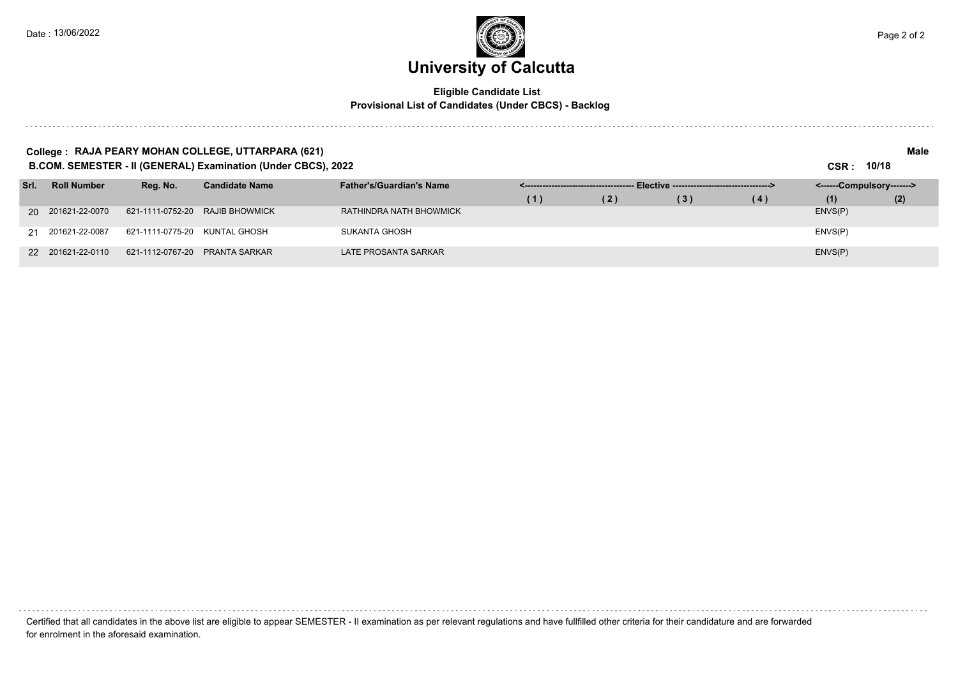. . . . . . . . . . . . .



#### **Eligible Candidate List Provisional List of Candidates (Under CBCS) - Backlog**

|      | Male<br>College : RAJA PEARY MOHAN COLLEGE, UTTARPARA (621)<br>B.COM. SEMESTER - II (GENERAL) Examination (Under CBCS), 2022<br>CSR: 10/18 |                  |                       |                                 |     |     |                                                |     |                           |     |  |  |
|------|--------------------------------------------------------------------------------------------------------------------------------------------|------------------|-----------------------|---------------------------------|-----|-----|------------------------------------------------|-----|---------------------------|-----|--|--|
| Srl. | <b>Roll Number</b>                                                                                                                         | Reg. No.         | <b>Candidate Name</b> | <b>Father's/Guardian's Name</b> |     |     | - Elective ----------------------------------> |     | <------Compulsory-------> |     |  |  |
|      |                                                                                                                                            |                  |                       |                                 | (1) | (2) | (3)                                            | (4) | (1)                       | (2) |  |  |
|      | 20 201621-22-0070                                                                                                                          | 621-1111-0752-20 | <b>RAJIB BHOWMICK</b> | RATHINDRA NATH BHOWMICK         |     |     |                                                |     | ENVS(P)                   |     |  |  |
|      | 21 201621-22-0087                                                                                                                          | 621-1111-0775-20 | KUNTAL GHOSH          | SUKANTA GHOSH                   |     |     |                                                |     | ENVS(P)                   |     |  |  |
|      | 22 201621-22-0110                                                                                                                          | 621-1112-0767-20 | PRANTA SARKAR         | LATE PROSANTA SARKAR            |     |     |                                                |     | ENVS(P)                   |     |  |  |

Certified that all candidates in the above list are eligible to appear SEMESTER - II examination as per relevant regulations and have fullfilled other criteria for their candidature and are forwarded for enrolment in the aforesaid examination.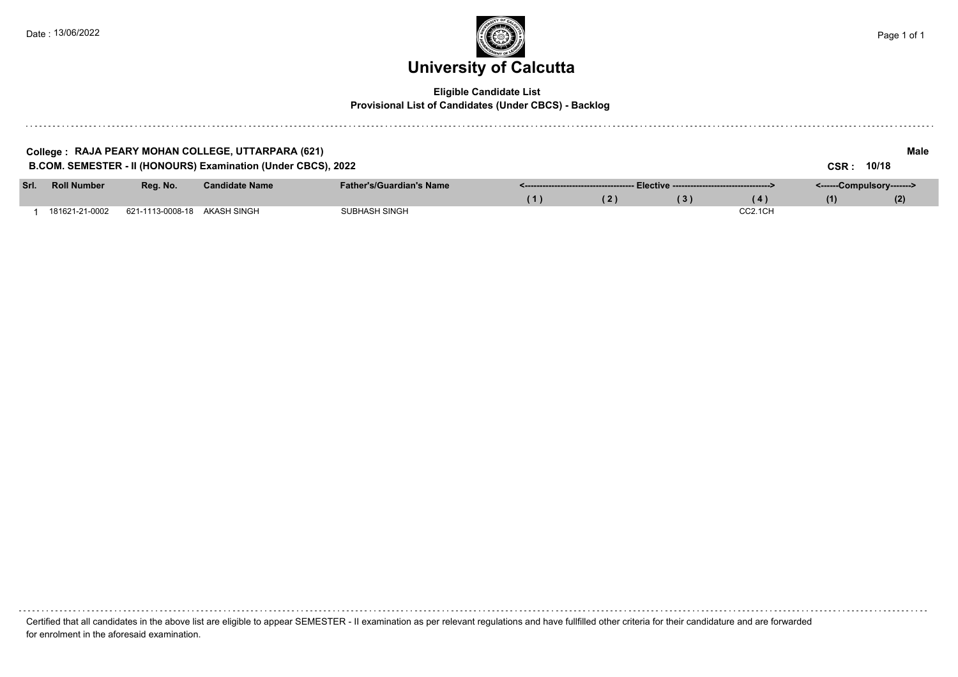

#### **Eligible Candidate List Provisional List of Candidates (Under CBCS) - Backlog**

|      |                    |                              | College : RAJA PEARY MOHAN COLLEGE, UTTARPARA (621)           |                                 |     |     |                                                |                      |                           | Male  |  |
|------|--------------------|------------------------------|---------------------------------------------------------------|---------------------------------|-----|-----|------------------------------------------------|----------------------|---------------------------|-------|--|
|      |                    |                              | B.COM. SEMESTER - II (HONOURS) Examination (Under CBCS), 2022 |                                 |     |     |                                                |                      | CSR :                     | 10/18 |  |
| Srl. | <b>Roll Number</b> | Reg. No.                     | <b>Candidate Name</b>                                         | <b>Father's/Guardian's Name</b> |     |     | - Elective ----------------------------------> |                      | <------Compulsory-------> |       |  |
|      |                    |                              |                                                               |                                 | (1) | (2) | (3)                                            | (4)                  | (1)                       | (2)   |  |
|      | 181621-21-0002     | 621-1113-0008-18 AKASH SINGH |                                                               | <b>SUBHASH SINGH</b>            |     |     |                                                | CC <sub>2.1</sub> CH |                           |       |  |

Certified that all candidates in the above list are eligible to appear SEMESTER - II examination as per relevant regulations and have fullfilled other criteria for their candidature and are forwarded for enrolment in the aforesaid examination.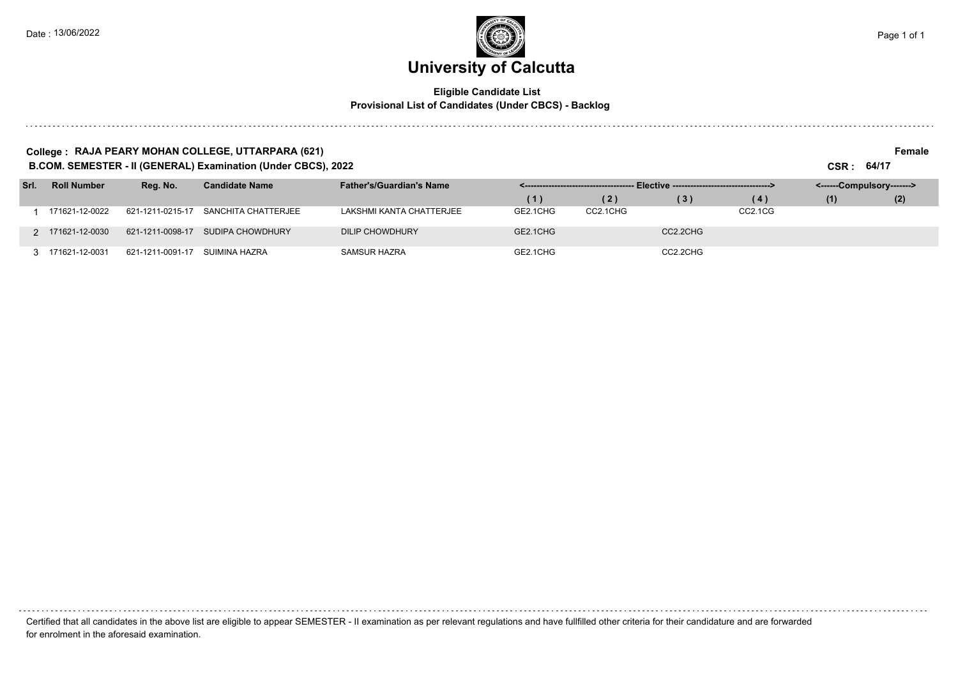#### **Eligible Candidate List Provisional List of Candidates (Under CBCS) - Backlog**

#### **College : RAJA PEARY MOHAN COLLEGE, UTTARPARA (621) Female**

**B.COM. SEMESTER - II (GENERAL) Examination (Under CBCS), 2022 CSR : 64/17**

| Srl. | <b>Roll Number</b> | Reg. No.         | <b>Candidate Name</b> | <b>Father's/Guardian's Name</b> |          |          |          |                                  | <------Compulsory-------> |     |  |
|------|--------------------|------------------|-----------------------|---------------------------------|----------|----------|----------|----------------------------------|---------------------------|-----|--|
|      |                    |                  |                       |                                 | (1)      | (2)      | (3)      | (4)                              | (1)                       | (2) |  |
|      | 171621-12-0022     | 621-1211-0215-17 | SANCHITA CHATTERJEE   | LAKSHMI KANTA CHATTERJEE        | GE2.1CHG | CC2.1CHG |          | CC <sub>2.1</sub> C <sub>G</sub> |                           |     |  |
|      | 2 171621-12-0030   | 621-1211-0098-17 | SUDIPA CHOWDHURY      | DILIP CHOWDHURY                 | GE2.1CHG |          | CC2.2CHG |                                  |                           |     |  |
|      | 171621-12-0031     | 621-1211-0091-17 | SUIMINA HAZRA         | <b>SAMSUR HAZRA</b>             | GE2.1CHG |          | CC2.2CHG |                                  |                           |     |  |

| Certified that all candidates in the above list are eligible to appear SEMESTER - Il examination as per relevant regulations and have fullfilled other criteria for their candidature and are forwarded |  |
|---------------------------------------------------------------------------------------------------------------------------------------------------------------------------------------------------------|--|
| for enrolment in the aforesaid examination.                                                                                                                                                             |  |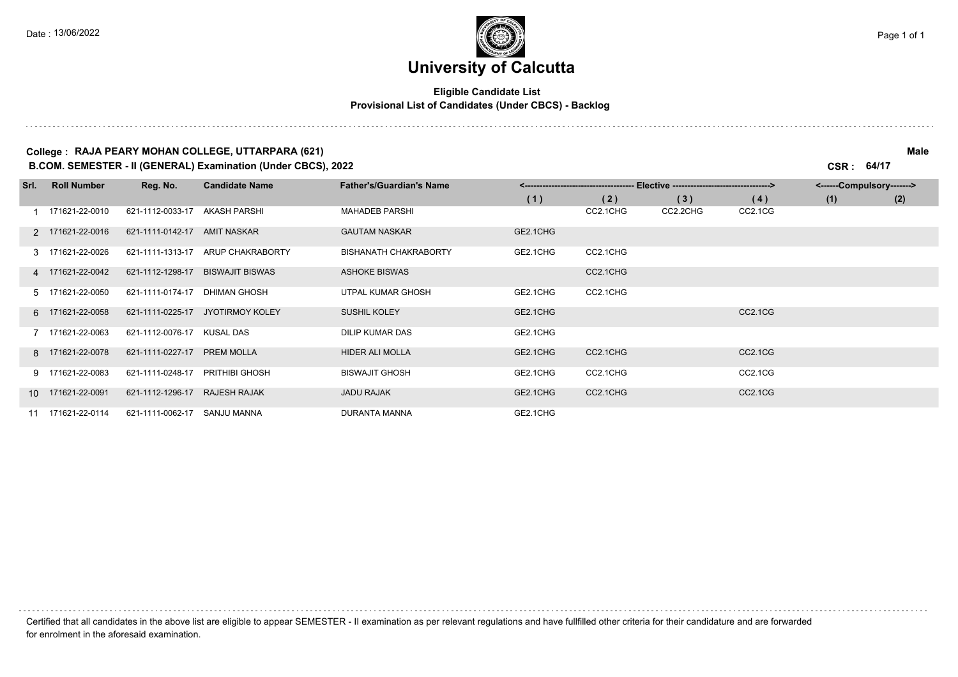. . . . . . .

### **University of Calcutta**

#### **Eligible Candidate List Provisional List of Candidates (Under CBCS) - Backlog**

#### **College : RAJA PEARY MOHAN COLLEGE, UTTARPARA (621) Male**

**B.COM. SEMESTER - II (GENERAL) Examination (Under CBCS), 2022 CSR : 64/17**

| Srl. | <b>Roll Number</b> | Reg. No.         | <b>Candidate Name</b>  | <b>Father's/Guardian's Name</b> | Elective ----------------------- |          |          |         | <------Compulsory-------> |     |  |
|------|--------------------|------------------|------------------------|---------------------------------|----------------------------------|----------|----------|---------|---------------------------|-----|--|
|      |                    |                  |                        |                                 | (1)                              | (2)      | (3)      | (4)     | (1)                       | (2) |  |
|      | 1 171621-22-0010   | 621-1112-0033-17 | AKASH PARSHI           | <b>MAHADEB PARSHI</b>           |                                  | CC2.1CHG | CC2.2CHG | CC2.1CG |                           |     |  |
|      | 2 171621-22-0016   | 621-1111-0142-17 | AMIT NASKAR            | <b>GAUTAM NASKAR</b>            | GE2.1CHG                         |          |          |         |                           |     |  |
|      | 3 171621-22-0026   | 621-1111-1313-17 | ARUP CHAKRABORTY       | <b>BISHANATH CHAKRABORTY</b>    | GE2.1CHG                         | CC2.1CHG |          |         |                           |     |  |
|      | 4 171621-22-0042   | 621-1112-1298-17 | <b>BISWAJIT BISWAS</b> | <b>ASHOKE BISWAS</b>            |                                  | CC2.1CHG |          |         |                           |     |  |
|      | 5 171621-22-0050   | 621-1111-0174-17 | <b>DHIMAN GHOSH</b>    | UTPAL KUMAR GHOSH               | GE2.1CHG                         | CC2.1CHG |          |         |                           |     |  |
|      | 6 171621-22-0058   | 621-1111-0225-17 | JYOTIRMOY KOLEY        | SUSHIL KOLEY                    | GE2.1CHG                         |          |          | CC2.1CG |                           |     |  |
|      | 7 171621-22-0063   | 621-1112-0076-17 | KUSAL DAS              | <b>DILIP KUMAR DAS</b>          | GE2.1CHG                         |          |          |         |                           |     |  |
|      | 8 171621-22-0078   | 621-1111-0227-17 | <b>PREM MOLLA</b>      | <b>HIDER ALI MOLLA</b>          | GE2.1CHG                         | CC2.1CHG |          | CC2.1CG |                           |     |  |
|      | 9 171621-22-0083   | 621-1111-0248-17 | PRITHIBI GHOSH         | <b>BISWAJIT GHOSH</b>           | GE2.1CHG                         | CC2.1CHG |          | CC2.1CG |                           |     |  |
|      | 10 171621-22-0091  | 621-1112-1296-17 | <b>RAJESH RAJAK</b>    | <b>JADU RAJAK</b>               | GE2.1CHG                         | CC2.1CHG |          | CC2.1CG |                           |     |  |
|      | 11 171621-22-0114  | 621-1111-0062-17 | SANJU MANNA            | <b>DURANTA MANNA</b>            | GE2.1CHG                         |          |          |         |                           |     |  |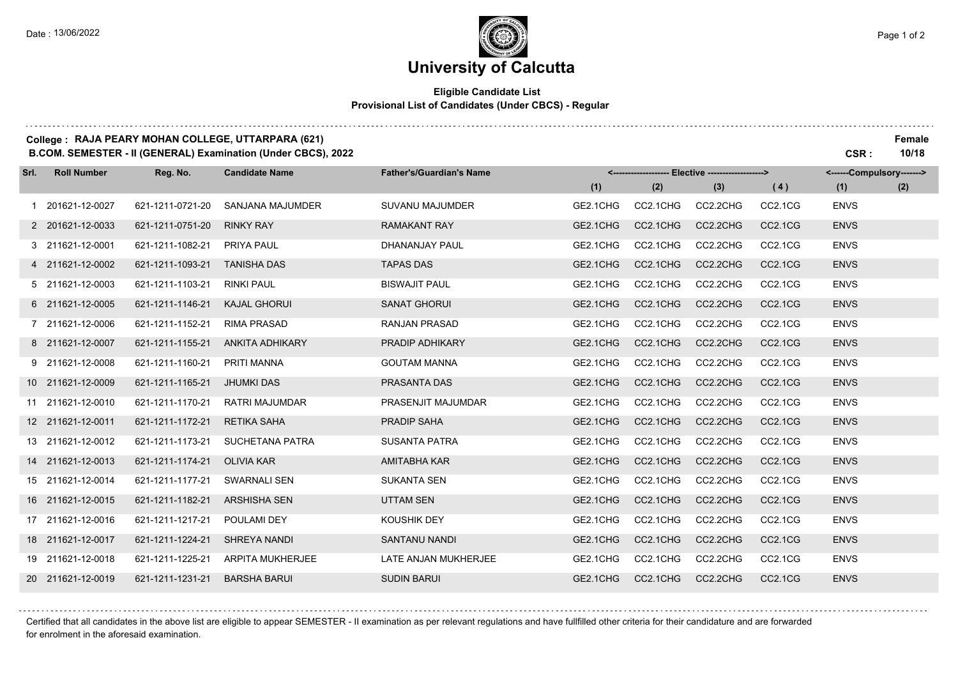. . . . . . . . .

## **University of Calcutta**

#### **Eligible Candidate List Provisional List of Candidates (Under CBCS) - Regular**

#### **College : RAJA PEARY MOHAN COLLEGE, UTTARPARA (621) Female B.COM. SEMESTER - II (GENERAL) Examination (Under CBCS), 2022 CSR : 10/18**

| Srl. | <b>Roll Number</b> | Reg. No.         | <b>Candidate Name</b>   | <b>Father's/Guardian's Name</b> | <------------------- Elective -------------------> |          |          |                                  | <------Compulsory-------> |     |
|------|--------------------|------------------|-------------------------|---------------------------------|----------------------------------------------------|----------|----------|----------------------------------|---------------------------|-----|
|      |                    |                  |                         |                                 | (1)                                                | (2)      | (3)      | (4)                              | (1)                       | (2) |
|      | 1 201621-12-0027   | 621-1211-0721-20 | SANJANA MAJUMDER        | <b>SUVANU MAJUMDER</b>          | GE2.1CHG                                           | CC2.1CHG | CC2.2CHG | CC2.1CG                          | <b>ENVS</b>               |     |
|      | 2 201621-12-0033   | 621-1211-0751-20 | <b>RINKY RAY</b>        | <b>RAMAKANT RAY</b>             | GE2.1CHG                                           | CC2.1CHG | CC2.2CHG | CC2.1CG                          | <b>ENVS</b>               |     |
|      | 3 211621-12-0001   | 621-1211-1082-21 | PRIYA PAUL              | DHANANJAY PAUL                  | GE2.1CHG                                           | CC2.1CHG | CC2.2CHG | CC <sub>2.1</sub> C <sub>G</sub> | <b>ENVS</b>               |     |
|      | 4 211621-12-0002   | 621-1211-1093-21 | <b>TANISHA DAS</b>      | <b>TAPAS DAS</b>                | GE2.1CHG                                           | CC2.1CHG | CC2.2CHG | <b>CC2.1CG</b>                   | <b>ENVS</b>               |     |
|      | 5 211621-12-0003   | 621-1211-1103-21 | <b>RINKI PAUL</b>       | <b>BISWAJIT PAUL</b>            | GE2.1CHG                                           | CC2.1CHG | CC2.2CHG | CC2.1CG                          | <b>ENVS</b>               |     |
|      | 6 211621-12-0005   | 621-1211-1146-21 | <b>KAJAL GHORUI</b>     | <b>SANAT GHORUI</b>             | GE2.1CHG                                           | CC2.1CHG | CC2.2CHG | <b>CC2.1CG</b>                   | <b>ENVS</b>               |     |
|      | 7 211621-12-0006   | 621-1211-1152-21 | <b>RIMA PRASAD</b>      | <b>RANJAN PRASAD</b>            | GE2.1CHG                                           | CC2.1CHG | CC2.2CHG | CC <sub>2.1</sub> C <sub>G</sub> | <b>ENVS</b>               |     |
|      | 8 211621-12-0007   | 621-1211-1155-21 | <b>ANKITA ADHIKARY</b>  | PRADIP ADHIKARY                 | GE2.1CHG                                           | CC2.1CHG | CC2.2CHG | CC2.1CG                          | <b>ENVS</b>               |     |
|      | 9 211621-12-0008   | 621-1211-1160-21 | <b>PRITI MANNA</b>      | <b>GOUTAM MANNA</b>             | GE2.1CHG                                           | CC2.1CHG | CC2.2CHG | CC2.1CG                          | <b>ENVS</b>               |     |
|      | 10 211621-12-0009  | 621-1211-1165-21 | <b>JHUMKI DAS</b>       | PRASANTA DAS                    | GE2.1CHG                                           | CC2.1CHG | CC2.2CHG | CC <sub>2.1</sub> C <sub>G</sub> | <b>ENVS</b>               |     |
|      | 11 211621-12-0010  | 621-1211-1170-21 | <b>RATRI MAJUMDAR</b>   | PRASENJIT MAJUMDAR              | GE2.1CHG                                           | CC2.1CHG | CC2.2CHG | CC <sub>2.1</sub> C <sub>G</sub> | <b>ENVS</b>               |     |
|      | 12 211621-12-0011  | 621-1211-1172-21 | <b>RETIKA SAHA</b>      | <b>PRADIP SAHA</b>              | GE2.1CHG                                           | CC2.1CHG | CC2.2CHG | CC2.1CG                          | <b>ENVS</b>               |     |
|      | 13 211621-12-0012  | 621-1211-1173-21 | SUCHETANA PATRA         | <b>SUSANTA PATRA</b>            | GE2.1CHG                                           | CC2.1CHG | CC2.2CHG | CC <sub>2.1</sub> C <sub>G</sub> | <b>ENVS</b>               |     |
|      | 14 211621-12-0013  | 621-1211-1174-21 | <b>OLIVIA KAR</b>       | <b>AMITABHA KAR</b>             | GE2.1CHG                                           | CC2.1CHG | CC2.2CHG | <b>CC2.1CG</b>                   | <b>ENVS</b>               |     |
|      | 15 211621-12-0014  | 621-1211-1177-21 | <b>SWARNALI SEN</b>     | <b>SUKANTA SEN</b>              | GE2.1CHG                                           | CC2.1CHG | CC2.2CHG | CC2.1CG                          | <b>ENVS</b>               |     |
|      | 16 211621-12-0015  | 621-1211-1182-21 | <b>ARSHISHA SEN</b>     | <b>UTTAM SEN</b>                | GE2.1CHG                                           | CC2.1CHG | CC2.2CHG | CC2.1CG                          | <b>ENVS</b>               |     |
|      | 17 211621-12-0016  | 621-1211-1217-21 | POULAMI DEY             | <b>KOUSHIK DEY</b>              | GE2.1CHG                                           | CC2.1CHG | CC2.2CHG | CC2.1CG                          | <b>ENVS</b>               |     |
|      | 18 211621-12-0017  | 621-1211-1224-21 | <b>SHREYA NANDI</b>     | <b>SANTANU NANDI</b>            | GE2.1CHG                                           | CC2.1CHG | CC2.2CHG | <b>CC2.1CG</b>                   | <b>ENVS</b>               |     |
|      | 19 211621-12-0018  | 621-1211-1225-21 | <b>ARPITA MUKHERJEE</b> | LATE ANJAN MUKHERJEE            | GE2.1CHG                                           | CC2.1CHG | CC2.2CHG | CC2.1CG                          | <b>ENVS</b>               |     |
|      | 20 211621-12-0019  | 621-1211-1231-21 | <b>BARSHA BARUI</b>     | <b>SUDIN BARUI</b>              | GE2.1CHG                                           | CC2.1CHG | CC2.2CHG | <b>CC2.1CG</b>                   | <b>ENVS</b>               |     |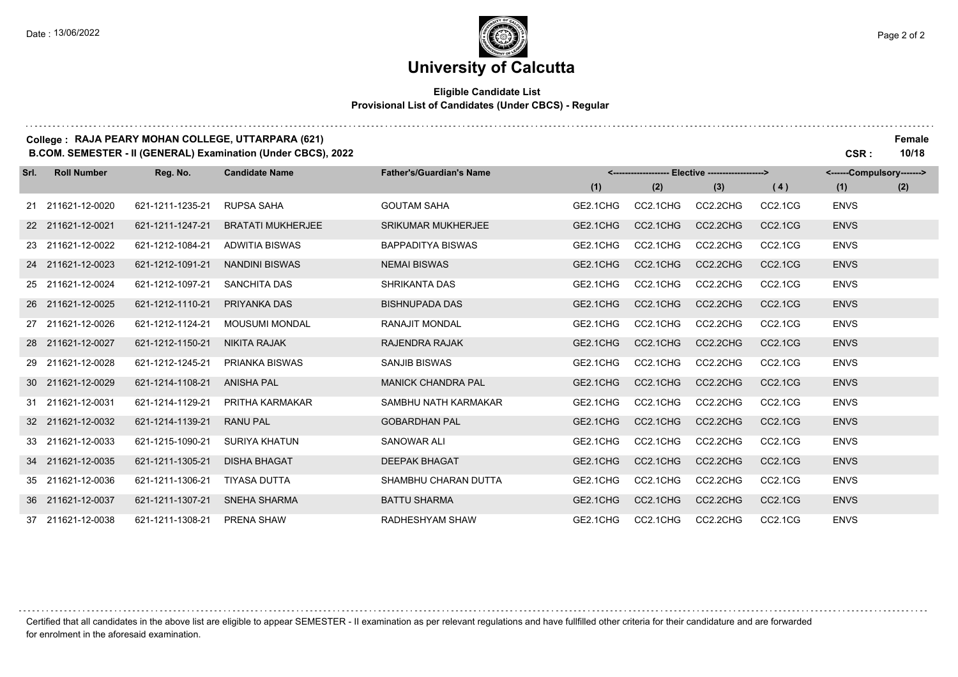#### **Eligible Candidate List Provisional List of Candidates (Under CBCS) - Regular**

#### **College : RAJA PEARY MOHAN COLLEGE, UTTARPARA (621) Female B.COM. SEMESTER - II (GENERAL) Examination (Under CBCS), 2022 CSR : 10/18**

**Reg. No. (1) (2) (3) Srl. Roll Number Candidate Name Father's/Guardian's Name <------------------- Elective -------------------> (1) (2) <------Compulsory-------> ( 4 )** 211621-12-0020 621-1211-1235-21 RUPSA SAHA GOUTAM SAHA GE2.1CHG CC2.1CHG CC2.2CHG CC2.1CG ENVS 211621-12-0021 621-1211-1247-21 BRATATI MUKHERJEE SRIKUMAR MUKHERJEE GE2.1CHG CC2.1CHG CC2.2CHG CC2.1CG ENVS 211621-12-0022 621-1212-1084-21 ADWITIA BISWAS BAPPADITYA BISWAS GE2.1CHG CC2.1CHG CC2.2CHG CC2.1CG ENVS 211621-12-0023 621-1212-1091-21 NANDINI BISWAS NEMAI BISWAS GE2.1CHG CC2.1CHG CC2.2CHG CC2.1CG ENVS 211621-12-0024 621-1212-1097-21 SANCHITA DAS SHRIKANTA DAS GE2.1CHG CC2.1CHG CC2.2CHG CC2.1CG ENVS 211621-12-0025 621-1212-1110-21 PRIYANKA DAS BISHNUPADA DAS GE2.1CHG CC2.1CHG CC2.2CHG CC2.1CG ENVS 211621-12-0026 621-1212-1124-21 MOUSUMI MONDAL RANAJIT MONDAL GE2.1CHG CC2.1CHG CC2.2CHG CC2.1CG ENVS 211621-12-0027 621-1212-1150-21 NIKITA RAJAK RAJENDRA RAJAK GE2.1CHG CC2.1CHG CC2.2CHG CC2.1CG ENVS 211621-12-0028 621-1212-1245-21 PRIANKA BISWAS SANJIB BISWAS GE2.1CHG CC2.1CHG CC2.2CHG CC2.1CG ENVS 211621-12-0029 621-1214-1108-21 ANISHA PAL MANICK CHANDRA PAL GE2.1CHG CC2.1CHG CC2.2CHG CC2.1CG ENVS 211621-12-0031 621-1214-1129-21 PRITHA KARMAKAR SAMBHU NATH KARMAKAR GE2.1CHG CC2.1CHG CC2.2CHG CC2.1CG ENVS 211621-12-0032 621-1214-1139-21 RANU PAL GOBARDHAN PAL GE2.1CHG CC2.1CHG CC2.2CHG CC2.1CG ENVS 211621-12-0033 621-1215-1090-21 SURIYA KHATUN SANOWAR ALI GE2.1CHG CC2.1CHG CC2.2CHG CC2.1CG ENVS 211621-12-0035 621-1211-1305-21 DISHA BHAGAT DEEPAK BHAGAT GE2.1CHG CC2.1CHG CC2.2CHG CC2.1CG ENVS 211621-12-0036 621-1211-1306-21 TIYASA DUTTA SHAMBHU CHARAN DUTTA GE2.1CHG CC2.1CHG CC2.2CHG CC2.1CG ENVS 211621-12-0037 621-1211-1307-21 SNEHA SHARMA BATTU SHARMA GE2.1CHG CC2.1CHG CC2.2CHG CC2.1CG ENVS 211621-12-0038 621-1211-1308-21 PRENA SHAW RADHESHYAM SHAW GE2.1CHG CC2.1CHG CC2.2CHG CC2.1CG ENVS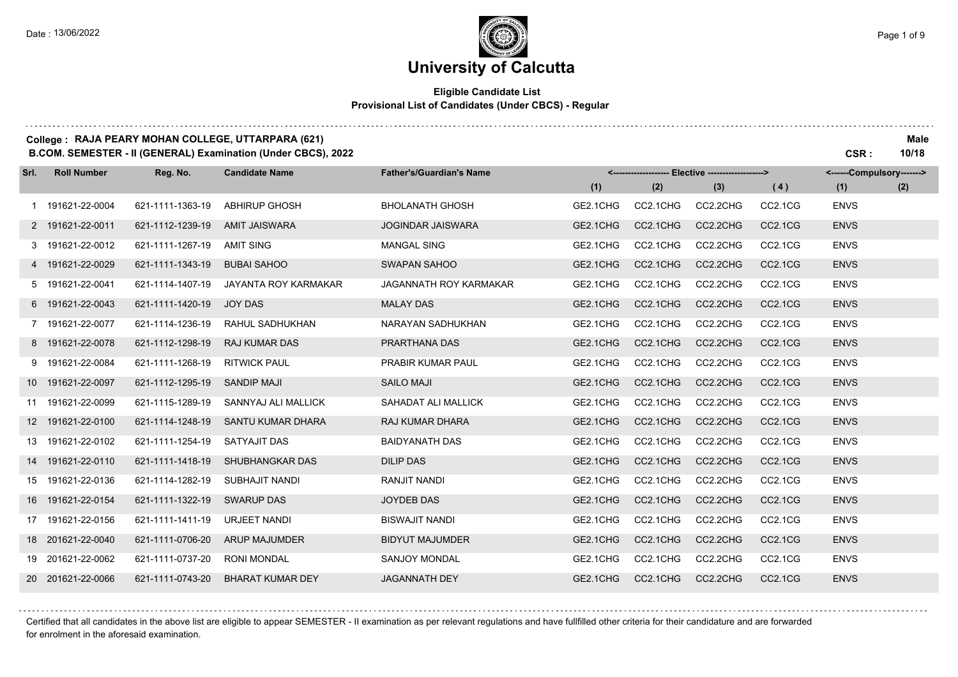# **University of Calcutta**

#### **Eligible Candidate List Provisional List of Candidates (Under CBCS) - Regular**

### **College : RAJA PEARY MOHAN COLLEGE, UTTARPARA (621) Male**

**B.COM. SEMESTER - II (GENERAL) Examination (Under CBCS), 2022 CSR : 10/18**

| Srl. | <b>Roll Number</b> | Reg. No.         | <b>Candidate Name</b>       | <b>Father's/Guardian's Name</b> | <-------------------- Elective -------------------> |          |          |                                  | <------Compulsory-------> |     |
|------|--------------------|------------------|-----------------------------|---------------------------------|-----------------------------------------------------|----------|----------|----------------------------------|---------------------------|-----|
|      |                    |                  |                             |                                 | (1)                                                 | (2)      | (3)      | (4)                              | (1)                       | (2) |
|      | 1 191621-22-0004   | 621-1111-1363-19 | <b>ABHIRUP GHOSH</b>        | <b>BHOLANATH GHOSH</b>          | GE2.1CHG                                            | CC2.1CHG | CC2.2CHG | CC2.1CG                          | <b>ENVS</b>               |     |
|      | 2 191621-22-0011   | 621-1112-1239-19 | <b>AMIT JAISWARA</b>        | <b>JOGINDAR JAISWARA</b>        | GE2.1CHG                                            | CC2.1CHG | CC2.2CHG | CC2.1CG                          | <b>ENVS</b>               |     |
|      | 3 191621-22-0012   | 621-1111-1267-19 | <b>AMIT SING</b>            | <b>MANGAL SING</b>              | GE2.1CHG                                            | CC2.1CHG | CC2.2CHG | CC2.1CG                          | <b>ENVS</b>               |     |
|      | 4 191621-22-0029   | 621-1111-1343-19 | <b>BUBAI SAHOO</b>          | SWAPAN SAHOO                    | GE2.1CHG                                            | CC2.1CHG | CC2.2CHG | CC2.1CG                          | <b>ENVS</b>               |     |
|      | 5 191621-22-0041   | 621-1114-1407-19 | <b>JAYANTA ROY KARMAKAR</b> | JAGANNATH ROY KARMAKAR          | GE2.1CHG                                            | CC2.1CHG | CC2.2CHG | CC2.1CG                          | <b>ENVS</b>               |     |
|      | 6 191621-22-0043   | 621-1111-1420-19 | <b>JOY DAS</b>              | <b>MALAY DAS</b>                | GE2.1CHG                                            | CC2.1CHG | CC2.2CHG | CC2.1CG                          | <b>ENVS</b>               |     |
|      | 7 191621-22-0077   | 621-1114-1236-19 | RAHUL SADHUKHAN             | NARAYAN SADHUKHAN               | GE2.1CHG                                            | CC2.1CHG | CC2.2CHG | CC2.1CG                          | <b>ENVS</b>               |     |
|      | 8 191621-22-0078   | 621-1112-1298-19 | <b>RAJ KUMAR DAS</b>        | PRARTHANA DAS                   | GE2.1CHG                                            | CC2.1CHG | CC2.2CHG | CC2.1CG                          | <b>ENVS</b>               |     |
|      | 9 191621-22-0084   | 621-1111-1268-19 | <b>RITWICK PAUL</b>         | PRABIR KUMAR PAUL               | GE2.1CHG                                            | CC2.1CHG | CC2.2CHG | CC2.1CG                          | <b>ENVS</b>               |     |
|      | 10 191621-22-0097  | 621-1112-1295-19 | <b>SANDIP MAJI</b>          | <b>SAILO MAJI</b>               | GE2.1CHG                                            | CC2.1CHG | CC2.2CHG | CC2.1CG                          | <b>ENVS</b>               |     |
|      | 11 191621-22-0099  | 621-1115-1289-19 | SANNYAJ ALI MALLICK         | SAHADAT ALI MALLICK             | GE2.1CHG                                            | CC2.1CHG | CC2.2CHG | CC2.1CG                          | <b>ENVS</b>               |     |
|      | 12 191621-22-0100  | 621-1114-1248-19 | SANTU KUMAR DHARA           | <b>RAJ KUMAR DHARA</b>          | GE2.1CHG                                            | CC2.1CHG | CC2.2CHG | CC <sub>2.1</sub> C <sub>G</sub> | <b>ENVS</b>               |     |
|      | 13 191621-22-0102  | 621-1111-1254-19 | SATYAJIT DAS                | <b>BAIDYANATH DAS</b>           | GE2.1CHG                                            | CC2.1CHG | CC2.2CHG | CC2.1CG                          | <b>ENVS</b>               |     |
|      | 14 191621-22-0110  | 621-1111-1418-19 | SHUBHANGKAR DAS             | <b>DILIP DAS</b>                | GE2.1CHG                                            | CC2.1CHG | CC2.2CHG | CC2.1CG                          | <b>ENVS</b>               |     |
|      | 15 191621-22-0136  | 621-1114-1282-19 | SUBHAJIT NANDI              | RANJIT NANDI                    | GE2.1CHG                                            | CC2.1CHG | CC2.2CHG | CC2.1CG                          | <b>ENVS</b>               |     |
|      | 16 191621-22-0154  | 621-1111-1322-19 | <b>SWARUP DAS</b>           | <b>JOYDEB DAS</b>               | GE2.1CHG                                            | CC2.1CHG | CC2.2CHG | CC2.1CG                          | <b>ENVS</b>               |     |
|      | 17 191621-22-0156  | 621-1111-1411-19 | <b>URJEET NANDI</b>         | <b>BISWAJIT NANDI</b>           | GE2.1CHG                                            | CC2.1CHG | CC2.2CHG | CC2.1CG                          | <b>ENVS</b>               |     |
|      | 18 201621-22-0040  | 621-1111-0706-20 | <b>ARUP MAJUMDER</b>        | <b>BIDYUT MAJUMDER</b>          | GE2.1CHG                                            | CC2.1CHG | CC2.2CHG | CC2.1CG                          | <b>ENVS</b>               |     |
|      | 19 201621-22-0062  | 621-1111-0737-20 | RONI MONDAL                 | <b>SANJOY MONDAL</b>            | GE2.1CHG                                            | CC2.1CHG | CC2.2CHG | CC2.1CG                          | <b>ENVS</b>               |     |
|      | 20 201621-22-0066  | 621-1111-0743-20 | <b>BHARAT KUMAR DEY</b>     | <b>JAGANNATH DEY</b>            | GE2.1CHG                                            | CC2.1CHG | CC2.2CHG | CC2.1CG                          | <b>ENVS</b>               |     |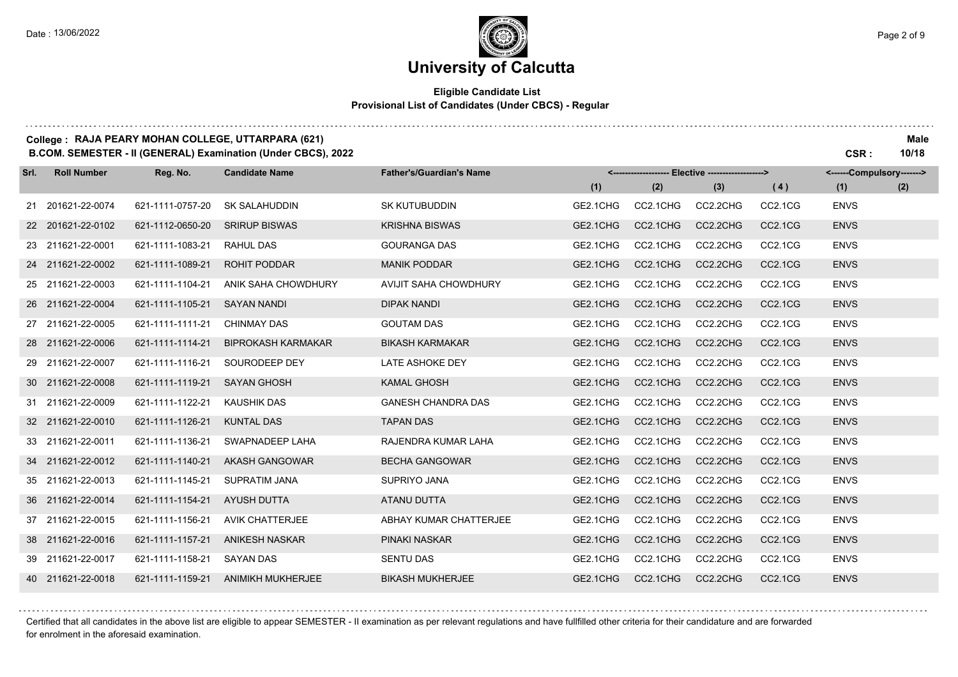. . . . . . . .

### **University of Calcutta**

#### **Eligible Candidate List Provisional List of Candidates (Under CBCS) - Regular**

### **College : RAJA PEARY MOHAN COLLEGE, UTTARPARA (621) Male**

**B.COM. SEMESTER - II (GENERAL) Examination (Under CBCS), 2022 CSR : 10/18**

| Srl. | <b>Roll Number</b> | Reg. No.         | <b>Candidate Name</b>     | <b>Father's/Guardian's Name</b> | <-------------------- Elective -------------------> |          |          |                                  | <------Compulsory-------> |     |
|------|--------------------|------------------|---------------------------|---------------------------------|-----------------------------------------------------|----------|----------|----------------------------------|---------------------------|-----|
|      |                    |                  |                           |                                 | (1)                                                 | (2)      | (3)      | (4)                              | (1)                       | (2) |
|      | 21 201621-22-0074  | 621-1111-0757-20 | <b>SK SALAHUDDIN</b>      | <b>SK KUTUBUDDIN</b>            | GE2.1CHG                                            | CC2.1CHG | CC2.2CHG | CC2.1CG                          | <b>ENVS</b>               |     |
|      | 22 201621-22-0102  | 621-1112-0650-20 | <b>SRIRUP BISWAS</b>      | <b>KRISHNA BISWAS</b>           | GE2.1CHG                                            | CC2.1CHG | CC2.2CHG | CC2.1CG                          | <b>ENVS</b>               |     |
|      | 23 211621-22-0001  | 621-1111-1083-21 | <b>RAHUL DAS</b>          | <b>GOURANGA DAS</b>             | GE2.1CHG                                            | CC2.1CHG | CC2.2CHG | CC2.1CG                          | <b>ENVS</b>               |     |
|      | 24 211621-22-0002  | 621-1111-1089-21 | <b>ROHIT PODDAR</b>       | <b>MANIK PODDAR</b>             | GE2.1CHG                                            | CC2.1CHG | CC2.2CHG | CC2.1CG                          | <b>ENVS</b>               |     |
|      | 25 211621-22-0003  | 621-1111-1104-21 | ANIK SAHA CHOWDHURY       | AVIJIT SAHA CHOWDHURY           | GE2.1CHG                                            | CC2.1CHG | CC2.2CHG | CC2.1CG                          | <b>ENVS</b>               |     |
|      | 26 211621-22-0004  | 621-1111-1105-21 | <b>SAYAN NANDI</b>        | <b>DIPAK NANDI</b>              | GE2.1CHG                                            | CC2.1CHG | CC2.2CHG | CC2.1CG                          | <b>ENVS</b>               |     |
|      | 27 211621-22-0005  | 621-1111-1111-21 | <b>CHINMAY DAS</b>        | <b>GOUTAM DAS</b>               | GE2.1CHG                                            | CC2.1CHG | CC2.2CHG | CC2.1CG                          | <b>ENVS</b>               |     |
|      | 28 211621-22-0006  | 621-1111-1114-21 | <b>BIPROKASH KARMAKAR</b> | <b>BIKASH KARMAKAR</b>          | GE2.1CHG                                            | CC2.1CHG | CC2.2CHG | CC2.1CG                          | <b>ENVS</b>               |     |
|      | 29 211621-22-0007  | 621-1111-1116-21 | SOURODEEP DEY             | <b>LATE ASHOKE DEY</b>          | GE2.1CHG                                            | CC2.1CHG | CC2.2CHG | CC2.1CG                          | <b>ENVS</b>               |     |
|      | 30 211621-22-0008  | 621-1111-1119-21 | <b>SAYAN GHOSH</b>        | <b>KAMAL GHOSH</b>              | GE2.1CHG                                            | CC2.1CHG | CC2.2CHG | CC2.1CG                          | <b>ENVS</b>               |     |
|      | 31 211621-22-0009  | 621-1111-1122-21 | <b>KAUSHIK DAS</b>        | <b>GANESH CHANDRA DAS</b>       | GE2.1CHG                                            | CC2.1CHG | CC2.2CHG | CC2.1CG                          | <b>ENVS</b>               |     |
|      | 32 211621-22-0010  | 621-1111-1126-21 | <b>KUNTAL DAS</b>         | <b>TAPAN DAS</b>                | GE2.1CHG                                            | CC2.1CHG | CC2.2CHG | CC2.1CG                          | <b>ENVS</b>               |     |
|      | 33 211621-22-0011  | 621-1111-1136-21 | SWAPNADEEP LAHA           | RAJENDRA KUMAR LAHA             | GE2.1CHG                                            | CC2.1CHG | CC2.2CHG | CC <sub>2.1</sub> C <sub>G</sub> | <b>ENVS</b>               |     |
|      | 34 211621-22-0012  | 621-1111-1140-21 | <b>AKASH GANGOWAR</b>     | <b>BECHA GANGOWAR</b>           | GE2.1CHG                                            | CC2.1CHG | CC2.2CHG | CC2.1CG                          | <b>ENVS</b>               |     |
|      | 35 211621-22-0013  | 621-1111-1145-21 | <b>SUPRATIM JANA</b>      | SUPRIYO JANA                    | GE2.1CHG                                            | CC2.1CHG | CC2.2CHG | CC2.1CG                          | <b>ENVS</b>               |     |
|      | 36 211621-22-0014  | 621-1111-1154-21 | <b>AYUSH DUTTA</b>        | <b>ATANU DUTTA</b>              | GE2.1CHG                                            | CC2.1CHG | CC2.2CHG | CC2.1CG                          | <b>ENVS</b>               |     |
|      | 37 211621-22-0015  | 621-1111-1156-21 | <b>AVIK CHATTERJEE</b>    | ABHAY KUMAR CHATTERJEE          | GE2.1CHG                                            | CC2.1CHG | CC2.2CHG | CC2.1CG                          | <b>ENVS</b>               |     |
|      | 38 211621-22-0016  | 621-1111-1157-21 | <b>ANIKESH NASKAR</b>     | PINAKI NASKAR                   | GE2.1CHG                                            | CC2.1CHG | CC2.2CHG | CC2.1CG                          | <b>ENVS</b>               |     |
|      | 39 211621-22-0017  | 621-1111-1158-21 | <b>SAYAN DAS</b>          | <b>SENTU DAS</b>                | GE2.1CHG                                            | CC2.1CHG | CC2.2CHG | CC2.1CG                          | <b>ENVS</b>               |     |
|      | 40 211621-22-0018  | 621-1111-1159-21 | <b>ANIMIKH MUKHERJEE</b>  | <b>BIKASH MUKHERJEE</b>         | GE2.1CHG                                            | CC2.1CHG | CC2.2CHG | CC2.1CG                          | <b>ENVS</b>               |     |

Certified that all candidates in the above list are eligible to appear SEMESTER - II examination as per relevant regulations and have fullfilled other criteria for their candidature and are forwarded for enrolment in the aforesaid examination.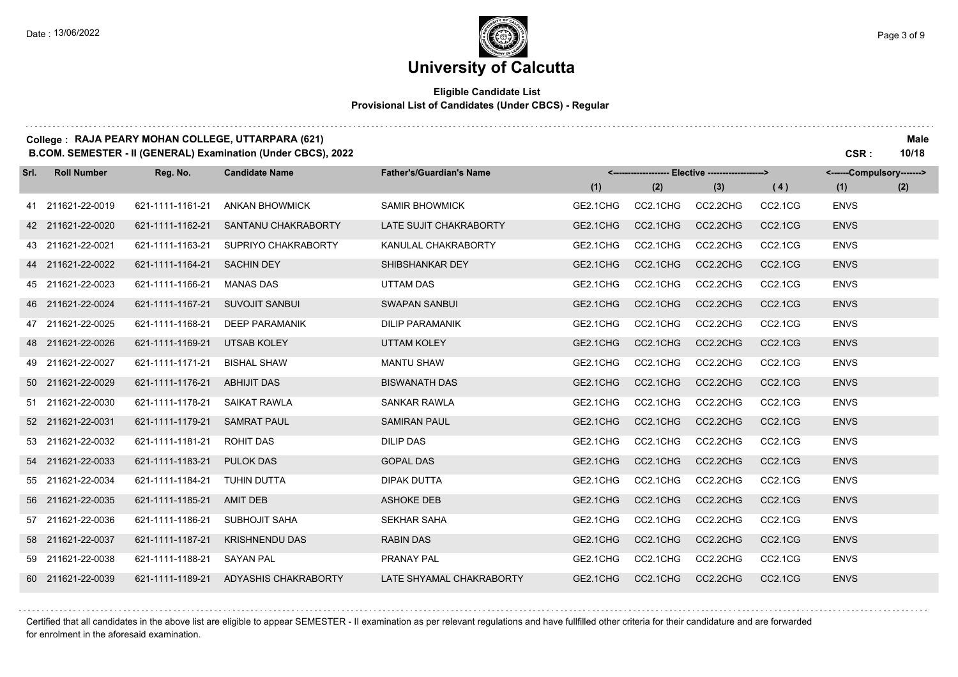. . . . . . . .

## **University of Calcutta**

#### **Eligible Candidate List Provisional List of Candidates (Under CBCS) - Regular**

### **College : RAJA PEARY MOHAN COLLEGE, UTTARPARA (621) Male**

**B.COM. SEMESTER - II (GENERAL) Examination (Under CBCS), 2022 CSR : 10/18**

| Srl. | <b>Roll Number</b> | Reg. No.         | <b>Candidate Name</b> | <b>Father's/Guardian's Name</b> |          |          | <-------------------- Elective -------------------> |                                  | <------Compulsory-------> |     |
|------|--------------------|------------------|-----------------------|---------------------------------|----------|----------|-----------------------------------------------------|----------------------------------|---------------------------|-----|
|      |                    |                  |                       |                                 | (1)      | (2)      | (3)                                                 | (4)                              | (1)                       | (2) |
|      | 41 211621-22-0019  | 621-1111-1161-21 | <b>ANKAN BHOWMICK</b> | <b>SAMIR BHOWMICK</b>           | GE2.1CHG | CC2.1CHG | CC2.2CHG                                            | CC2.1CG                          | <b>ENVS</b>               |     |
|      | 42 211621-22-0020  | 621-1111-1162-21 | SANTANU CHAKRABORTY   | LATE SUJIT CHAKRABORTY          | GE2.1CHG | CC2.1CHG | CC2.2CHG                                            | CC2.1CG                          | <b>ENVS</b>               |     |
|      | 43 211621-22-0021  | 621-1111-1163-21 | SUPRIYO CHAKRABORTY   | KANULAL CHAKRABORTY             | GE2.1CHG | CC2.1CHG | CC2.2CHG                                            | CC <sub>2.1</sub> C <sub>G</sub> | <b>ENVS</b>               |     |
|      | 44 211621-22-0022  | 621-1111-1164-21 | <b>SACHIN DEY</b>     | SHIBSHANKAR DEY                 | GE2.1CHG | CC2.1CHG | CC2.2CHG                                            | CC2.1CG                          | <b>ENVS</b>               |     |
|      | 45 211621-22-0023  | 621-1111-1166-21 | <b>MANAS DAS</b>      | UTTAM DAS                       | GE2.1CHG | CC2.1CHG | CC2.2CHG                                            | CC2.1CG                          | <b>ENVS</b>               |     |
|      | 46 211621-22-0024  | 621-1111-1167-21 | <b>SUVOJIT SANBUI</b> | <b>SWAPAN SANBUI</b>            | GE2.1CHG | CC2.1CHG | CC2.2CHG                                            | CC2.1CG                          | <b>ENVS</b>               |     |
|      | 47 211621-22-0025  | 621-1111-1168-21 | <b>DEEP PARAMANIK</b> | <b>DILIP PARAMANIK</b>          | GE2.1CHG | CC2.1CHG | CC2.2CHG                                            | CC2.1CG                          | <b>ENVS</b>               |     |
|      | 48 211621-22-0026  | 621-1111-1169-21 | <b>UTSAB KOLEY</b>    | <b>UTTAM KOLEY</b>              | GE2.1CHG | CC2.1CHG | CC2.2CHG                                            | CC2.1CG                          | <b>ENVS</b>               |     |
|      | 49 211621-22-0027  | 621-1111-1171-21 | <b>BISHAL SHAW</b>    | <b>MANTU SHAW</b>               | GE2.1CHG | CC2.1CHG | CC2.2CHG                                            | CC <sub>2.1</sub> C <sub>G</sub> | <b>ENVS</b>               |     |
|      | 50 211621-22-0029  | 621-1111-1176-21 | <b>ABHIJIT DAS</b>    | <b>BISWANATH DAS</b>            | GE2.1CHG | CC2.1CHG | CC2.2CHG                                            | CC2.1CG                          | <b>ENVS</b>               |     |
|      | 51 211621-22-0030  | 621-1111-1178-21 | <b>SAIKAT RAWLA</b>   | <b>SANKAR RAWLA</b>             | GE2.1CHG | CC2.1CHG | CC2.2CHG                                            | CC2.1CG                          | <b>ENVS</b>               |     |
|      | 52 211621-22-0031  | 621-1111-1179-21 | <b>SAMRAT PAUL</b>    | <b>SAMIRAN PAUL</b>             | GE2.1CHG | CC2.1CHG | CC2.2CHG                                            | CC2.1CG                          | <b>ENVS</b>               |     |
|      | 53 211621-22-0032  | 621-1111-1181-21 | ROHIT DAS             | <b>DILIP DAS</b>                | GE2.1CHG | CC2.1CHG | CC2.2CHG                                            | CC <sub>2.1</sub> C <sub>G</sub> | <b>ENVS</b>               |     |
|      | 54 211621-22-0033  | 621-1111-1183-21 | <b>PULOK DAS</b>      | <b>GOPAL DAS</b>                | GE2.1CHG | CC2.1CHG | CC2.2CHG                                            | CC2.1CG                          | <b>ENVS</b>               |     |
|      | 55 211621-22-0034  | 621-1111-1184-21 | <b>TUHIN DUTTA</b>    | <b>DIPAK DUTTA</b>              | GE2.1CHG | CC2.1CHG | CC2.2CHG                                            | CC <sub>2.1</sub> C <sub>G</sub> | <b>ENVS</b>               |     |
|      | 56 211621-22-0035  | 621-1111-1185-21 | <b>AMIT DEB</b>       | <b>ASHOKE DEB</b>               | GE2.1CHG | CC2.1CHG | CC2.2CHG                                            | CC2.1CG                          | <b>ENVS</b>               |     |
|      | 57 211621-22-0036  | 621-1111-1186-21 | <b>SUBHOJIT SAHA</b>  | <b>SEKHAR SAHA</b>              | GE2.1CHG | CC2.1CHG | CC2.2CHG                                            | CC2.1CG                          | <b>ENVS</b>               |     |
|      | 58 211621-22-0037  | 621-1111-1187-21 | <b>KRISHNENDU DAS</b> | <b>RABIN DAS</b>                | GE2.1CHG | CC2.1CHG | CC2.2CHG                                            | CC2.1CG                          | <b>ENVS</b>               |     |
|      | 59 211621-22-0038  | 621-1111-1188-21 | <b>SAYAN PAL</b>      | PRANAY PAL                      | GE2.1CHG | CC2.1CHG | CC2.2CHG                                            | CC2.1CG                          | <b>ENVS</b>               |     |
|      | 60 211621-22-0039  | 621-1111-1189-21 | ADYASHIS CHAKRABORTY  | LATE SHYAMAL CHAKRABORTY        | GE2.1CHG | CC2.1CHG | CC2.2CHG                                            | CC2.1CG                          | <b>ENVS</b>               |     |

Certified that all candidates in the above list are eligible to appear SEMESTER - II examination as per relevant regulations and have fullfilled other criteria for their candidature and are forwarded for enrolment in the aforesaid examination.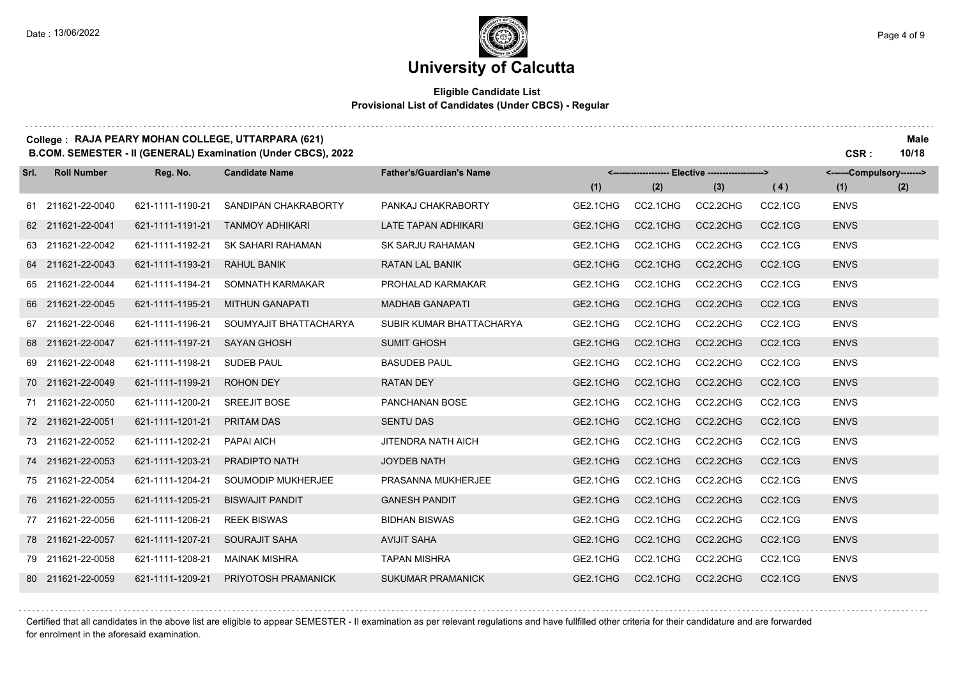# **University of Calcutta**

#### **Eligible Candidate List Provisional List of Candidates (Under CBCS) - Regular**

|      | College: RAJA PEARY MOHAN COLLEGE, UTTARPARA (621)<br>B.COM. SEMESTER - II (GENERAL) Examination (Under CBCS), 2022<br>CSR: |                  |                        |                                 |          |          |                                                   |                |                           |     |
|------|-----------------------------------------------------------------------------------------------------------------------------|------------------|------------------------|---------------------------------|----------|----------|---------------------------------------------------|----------------|---------------------------|-----|
| Srl. | <b>Roll Number</b>                                                                                                          | Reg. No.         | <b>Candidate Name</b>  | <b>Father's/Guardian's Name</b> |          |          | <------------------- Elective ------------------> |                | <------Compulsory-------> |     |
|      |                                                                                                                             |                  |                        |                                 | (1)      | (2)      | (3)                                               | (4)            | (1)                       | (2) |
|      | 61 211621-22-0040                                                                                                           | 621-1111-1190-21 | SANDIPAN CHAKRABORTY   | PANKAJ CHAKRABORTY              | GE2.1CHG | CC2.1CHG | CC2.2CHG                                          | CC2.1CG        | <b>ENVS</b>               |     |
|      | 62 211621-22-0041                                                                                                           | 621-1111-1191-21 | <b>TANMOY ADHIKARI</b> | LATE TAPAN ADHIKARI             | GE2.1CHG | CC2.1CHG | CC2.2CHG                                          | CC2.1CG        | <b>ENVS</b>               |     |
|      | 63 211621-22-0042                                                                                                           | 621-1111-1192-21 | SK SAHARI RAHAMAN      | SK SARJU RAHAMAN                | GE2.1CHG | CC2.1CHG | CC2.2CHG                                          | CC2.1CG        | <b>ENVS</b>               |     |
|      | 64 211621-22-0043                                                                                                           | 621-1111-1193-21 | <b>RAHUL BANIK</b>     | <b>RATAN LAL BANIK</b>          | GE2.1CHG | CC2.1CHG | CC2.2CHG                                          | CC2.1CG        | <b>ENVS</b>               |     |
|      | 65 211621-22-0044                                                                                                           | 621-1111-1194-21 | SOMNATH KARMAKAR       | PROHALAD KARMAKAR               | GE2.1CHG | CC2.1CHG | CC2.2CHG                                          | CC2.1CG        | <b>ENVS</b>               |     |
|      | 66 211621-22-0045                                                                                                           | 621-1111-1195-21 | <b>MITHUN GANAPATI</b> | <b>MADHAB GANAPATI</b>          | GE2.1CHG | CC2.1CHG | CC2.2CHG                                          | CC2.1CG        | <b>ENVS</b>               |     |
|      | 67 211621-22-0046                                                                                                           | 621-1111-1196-21 | SOUMYAJIT BHATTACHARYA | SUBIR KUMAR BHATTACHARYA        | GE2.1CHG | CC2.1CHG | CC2.2CHG                                          | CC2.1CG        | <b>ENVS</b>               |     |
|      | 68 211621-22-0047                                                                                                           | 621-1111-1197-21 | <b>SAYAN GHOSH</b>     | <b>SUMIT GHOSH</b>              | GE2.1CHG | CC2.1CHG | CC2.2CHG                                          | CC2.1CG        | <b>ENVS</b>               |     |
|      | 69 211621-22-0048                                                                                                           | 621-1111-1198-21 | <b>SUDEB PAUL</b>      | <b>BASUDEB PAUL</b>             | GE2.1CHG | CC2.1CHG | CC2.2CHG                                          | CC2.1CG        | <b>ENVS</b>               |     |
|      | 70 211621-22-0049                                                                                                           | 621-1111-1199-21 | <b>ROHON DEY</b>       | <b>RATAN DEY</b>                | GE2.1CHG | CC2.1CHG | CC2.2CHG                                          | CC2.1CG        | <b>ENVS</b>               |     |
|      | 71 211621-22-0050                                                                                                           | 621-1111-1200-21 | <b>SREEJIT BOSE</b>    | PANCHANAN BOSE                  | GE2.1CHG | CC2.1CHG | CC2.2CHG                                          | CC2.1CG        | <b>ENVS</b>               |     |
|      | 72 211621-22-0051                                                                                                           | 621-1111-1201-21 | <b>PRITAM DAS</b>      | <b>SENTU DAS</b>                | GE2.1CHG | CC2.1CHG | CC2.2CHG                                          | <b>CC2.1CG</b> | <b>ENVS</b>               |     |
|      | 73 211621-22-0052                                                                                                           | 621-1111-1202-21 | PAPAI AICH             | <b>JITENDRA NATH AICH</b>       | GE2.1CHG | CC2.1CHG | CC2.2CHG                                          | CC2.1CG        | <b>ENVS</b>               |     |
|      | 74 211621-22-0053                                                                                                           | 621-1111-1203-21 | <b>PRADIPTO NATH</b>   | <b>JOYDEB NATH</b>              | GE2.1CHG | CC2.1CHG | CC2.2CHG                                          | <b>CC2.1CG</b> | <b>ENVS</b>               |     |
|      | 75 211621-22-0054                                                                                                           | 621-1111-1204-21 | SOUMODIP MUKHERJEE     | PRASANNA MUKHERJEE              | GE2.1CHG | CC2.1CHG | CC2.2CHG                                          | CC2.1CG        | <b>ENVS</b>               |     |
|      | 76 211621-22-0055                                                                                                           | 621-1111-1205-21 | <b>BISWAJIT PANDIT</b> | <b>GANESH PANDIT</b>            | GE2.1CHG | CC2.1CHG | CC2.2CHG                                          | CC2.1CG        | <b>ENVS</b>               |     |
|      | 77 211621-22-0056                                                                                                           | 621-1111-1206-21 | <b>REEK BISWAS</b>     | <b>BIDHAN BISWAS</b>            | GE2.1CHG | CC2.1CHG | CC2.2CHG                                          | CC2.1CG        | <b>ENVS</b>               |     |
|      | 78 211621-22-0057                                                                                                           | 621-1111-1207-21 | <b>SOURAJIT SAHA</b>   | <b>AVIJIT SAHA</b>              | GE2.1CHG | CC2.1CHG | CC2.2CHG                                          | CC2.1CG        | <b>ENVS</b>               |     |
| 79   | 211621-22-0058                                                                                                              | 621-1111-1208-21 | <b>MAINAK MISHRA</b>   | <b>TAPAN MISHRA</b>             | GE2.1CHG | CC2.1CHG | CC2.2CHG                                          | CC2.1CG        | <b>ENVS</b>               |     |
|      | 80 211621-22-0059                                                                                                           | 621-1111-1209-21 | PRIYOTOSH PRAMANICK    | <b>SUKUMAR PRAMANICK</b>        | GE2.1CHG | CC2.1CHG | CC2.2CHG                                          | CC2.1CG        | <b>ENVS</b>               |     |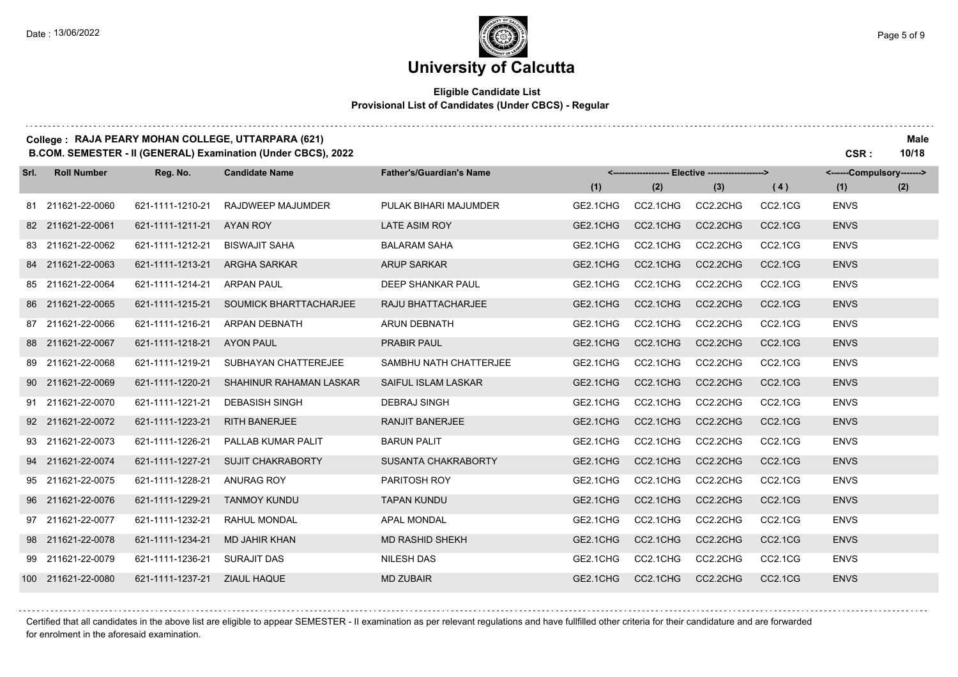#### **Eligible Candidate List Provisional List of Candidates (Under CBCS) - Regular**

| College : RAJA PEARY MOHAN COLLEGE, UTTARPARA (621) | <b>Male</b> |
|-----------------------------------------------------|-------------|
| _ _ _ _ _ _ _ _ _ _ _ _ _ _ _ _ _<br>.              | .           |

**B.COM. SEMESTER - II (GENERAL) Examination (Under CBCS), 2022 CSR : 10/18**

| Srl. | <b>Roll Number</b> | Reg. No.         | <b>Candidate Name</b>          | <b>Father's/Guardian's Name</b> | <------------------- Elective ------------------> |          |          | <------Compulsory------->        |             |     |
|------|--------------------|------------------|--------------------------------|---------------------------------|---------------------------------------------------|----------|----------|----------------------------------|-------------|-----|
|      |                    |                  |                                |                                 | (1)                                               | (2)      | (3)      | (4)                              | (1)         | (2) |
|      | 81 211621-22-0060  | 621-1111-1210-21 | RAJDWEEP MAJUMDER              | PULAK BIHARI MAJUMDER           | GE2.1CHG                                          | CC2.1CHG | CC2.2CHG | CC <sub>2.1</sub> C <sub>G</sub> | <b>ENVS</b> |     |
|      | 82 211621-22-0061  | 621-1111-1211-21 | AYAN ROY                       | <b>LATE ASIM ROY</b>            | GE2.1CHG                                          | CC2.1CHG | CC2.2CHG | <b>CC2.1CG</b>                   | <b>ENVS</b> |     |
|      | 83 211621-22-0062  | 621-1111-1212-21 | <b>BISWAJIT SAHA</b>           | <b>BALARAM SAHA</b>             | GE2.1CHG                                          | CC2.1CHG | CC2.2CHG | CC2.1CG                          | <b>ENVS</b> |     |
|      | 84 211621-22-0063  | 621-1111-1213-21 | <b>ARGHA SARKAR</b>            | <b>ARUP SARKAR</b>              | GE2.1CHG                                          | CC2.1CHG | CC2.2CHG | CC2.1CG                          | <b>ENVS</b> |     |
|      | 85 211621-22-0064  | 621-1111-1214-21 | <b>ARPAN PAUL</b>              | <b>DEEP SHANKAR PAUL</b>        | GE2.1CHG                                          | CC2.1CHG | CC2.2CHG | CC <sub>2.1</sub> C <sub>G</sub> | <b>ENVS</b> |     |
|      | 86 211621-22-0065  | 621-1111-1215-21 | SOUMICK BHARTTACHARJEE         | RAJU BHATTACHARJEE              | GE2.1CHG                                          | CC2.1CHG | CC2.2CHG | CC2.1CG                          | <b>ENVS</b> |     |
|      | 87 211621-22-0066  | 621-1111-1216-21 | <b>ARPAN DEBNATH</b>           | <b>ARUN DEBNATH</b>             | GE2.1CHG                                          | CC2.1CHG | CC2.2CHG | CC2.1CG                          | <b>ENVS</b> |     |
|      | 88 211621-22-0067  | 621-1111-1218-21 | <b>AYON PAUL</b>               | <b>PRABIR PAUL</b>              | GE2.1CHG                                          | CC2.1CHG | CC2.2CHG | <b>CC2.1CG</b>                   | <b>ENVS</b> |     |
|      | 89 211621-22-0068  | 621-1111-1219-21 | SUBHAYAN CHATTEREJEE           | SAMBHU NATH CHATTERJEE          | GE2.1CHG                                          | CC2.1CHG | CC2.2CHG | CC2.1CG                          | <b>ENVS</b> |     |
|      | 90 211621-22-0069  | 621-1111-1220-21 | <b>SHAHINUR RAHAMAN LASKAR</b> | <b>SAIFUL ISLAM LASKAR</b>      | GE2.1CHG                                          | CC2.1CHG | CC2.2CHG | CC2.1CG                          | <b>ENVS</b> |     |
|      | 91 211621-22-0070  | 621-1111-1221-21 | <b>DEBASISH SINGH</b>          | <b>DEBRAJ SINGH</b>             | GE2.1CHG                                          | CC2.1CHG | CC2.2CHG | CC2.1CG                          | <b>ENVS</b> |     |
|      | 92 211621-22-0072  | 621-1111-1223-21 | <b>RITH BANERJEE</b>           | <b>RANJIT BANERJEE</b>          | GE2.1CHG                                          | CC2.1CHG | CC2.2CHG | CC2.1CG                          | <b>ENVS</b> |     |
|      | 93 211621-22-0073  | 621-1111-1226-21 | PALLAB KUMAR PALIT             | <b>BARUN PALIT</b>              | GE2.1CHG                                          | CC2.1CHG | CC2.2CHG | CC <sub>2.1</sub> C <sub>G</sub> | <b>ENVS</b> |     |
|      | 94 211621-22-0074  | 621-1111-1227-21 | <b>SUJIT CHAKRABORTY</b>       | <b>SUSANTA CHAKRABORTY</b>      | GE2.1CHG                                          | CC2.1CHG | CC2.2CHG | CC2.1CG                          | <b>ENVS</b> |     |
|      | 95 211621-22-0075  | 621-1111-1228-21 | <b>ANURAG ROY</b>              | PARITOSH ROY                    | GE2.1CHG                                          | CC2.1CHG | CC2.2CHG | CC2.1CG                          | <b>ENVS</b> |     |
|      | 96 211621-22-0076  | 621-1111-1229-21 | <b>TANMOY KUNDU</b>            | <b>TAPAN KUNDU</b>              | GE2.1CHG                                          | CC2.1CHG | CC2.2CHG | CC2.1CG                          | <b>ENVS</b> |     |
|      | 97 211621-22-0077  | 621-1111-1232-21 | RAHUL MONDAL                   | <b>APAL MONDAL</b>              | GE2.1CHG                                          | CC2.1CHG | CC2.2CHG | CC2.1CG                          | <b>ENVS</b> |     |
|      | 98 211621-22-0078  | 621-1111-1234-21 | <b>MD JAHIR KHAN</b>           | <b>MD RASHID SHEKH</b>          | GE2.1CHG                                          | CC2.1CHG | CC2.2CHG | CC2.1CG                          | <b>ENVS</b> |     |
|      | 99 211621-22-0079  | 621-1111-1236-21 | <b>SURAJIT DAS</b>             | <b>NILESH DAS</b>               | GE2.1CHG                                          | CC2.1CHG | CC2.2CHG | CC2.1CG                          | <b>ENVS</b> |     |
|      | 100 211621-22-0080 | 621-1111-1237-21 | <b>ZIAUL HAQUE</b>             | <b>MD ZUBAIR</b>                | GE2.1CHG                                          | CC2.1CHG | CC2.2CHG | CC2.1CG                          | <b>ENVS</b> |     |

Certified that all candidates in the above list are eligible to appear SEMESTER - II examination as per relevant regulations and have fullfilled other criteria for their candidature and are forwarded for enrolment in the aforesaid examination.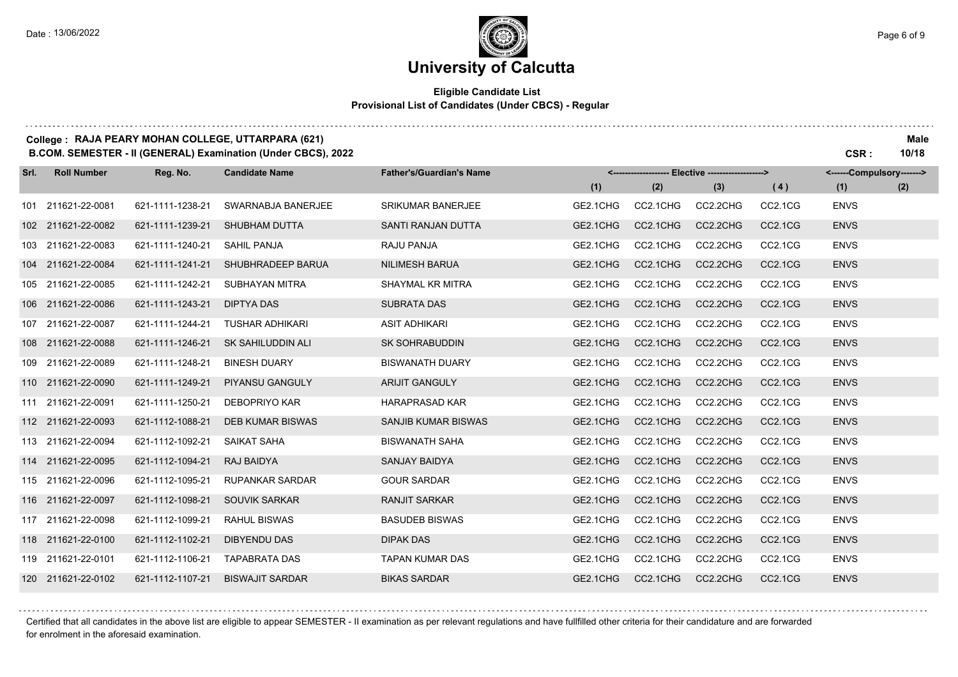## **University of Calcutta**

#### **Eligible Candidate List Provisional List of Candidates (Under CBCS) - Regular**

### **College : RAJA PEARY MOHAN COLLEGE, UTTARPARA (621) Male**

**B.COM. SEMESTER - II (GENERAL) Examination (Under CBCS), 2022 CSR : 10/18**

| Srl. | <b>Roll Number</b> | Reg. No.         | <b>Candidate Name</b>   | <b>Father's/Guardian's Name</b> | <------------------- Elective ------------------> |          |          | <------Compulsory-------> |             |     |
|------|--------------------|------------------|-------------------------|---------------------------------|---------------------------------------------------|----------|----------|---------------------------|-------------|-----|
|      |                    |                  |                         |                                 | (1)                                               | (2)      | (3)      | (4)                       | (1)         | (2) |
|      | 101 211621-22-0081 | 621-1111-1238-21 | SWARNABJA BANERJEE      | <b>SRIKUMAR BANERJEE</b>        | GE2.1CHG                                          | CC2.1CHG | CC2.2CHG | CC2.1CG                   | <b>ENVS</b> |     |
|      | 102 211621-22-0082 | 621-1111-1239-21 | <b>SHUBHAM DUTTA</b>    | <b>SANTI RANJAN DUTTA</b>       | GE2.1CHG                                          | CC2.1CHG | CC2.2CHG | CC2.1CG                   | <b>ENVS</b> |     |
|      | 103 211621-22-0083 | 621-1111-1240-21 | <b>SAHIL PANJA</b>      | RAJU PANJA                      | GE2.1CHG                                          | CC2.1CHG | CC2.2CHG | CC2.1CG                   | <b>ENVS</b> |     |
|      | 104 211621-22-0084 | 621-1111-1241-21 | SHUBHRADEEP BARUA       | <b>NILIMESH BARUA</b>           | GE2.1CHG                                          | CC2.1CHG | CC2.2CHG | CC2.1CG                   | <b>ENVS</b> |     |
|      | 105 211621-22-0085 | 621-1111-1242-21 | SUBHAYAN MITRA          | SHAYMAL KR MITRA                | GE2.1CHG                                          | CC2.1CHG | CC2.2CHG | CC2.1CG                   | <b>ENVS</b> |     |
|      | 106 211621-22-0086 | 621-1111-1243-21 | <b>DIPTYA DAS</b>       | <b>SUBRATA DAS</b>              | GE2.1CHG                                          | CC2.1CHG | CC2.2CHG | CC2.1CG                   | <b>ENVS</b> |     |
|      | 107 211621-22-0087 | 621-1111-1244-21 | <b>TUSHAR ADHIKARI</b>  | <b>ASIT ADHIKARI</b>            | GE2.1CHG                                          | CC2.1CHG | CC2.2CHG | CC2.1CG                   | <b>ENVS</b> |     |
|      | 108 211621-22-0088 | 621-1111-1246-21 | SK SAHILUDDIN ALI       | <b>SK SOHRABUDDIN</b>           | GE2.1CHG                                          | CC2.1CHG | CC2.2CHG | CC2.1CG                   | <b>ENVS</b> |     |
|      | 109 211621-22-0089 | 621-1111-1248-21 | <b>BINESH DUARY</b>     | <b>BISWANATH DUARY</b>          | GE2.1CHG                                          | CC2.1CHG | CC2.2CHG | CC2.1CG                   | <b>ENVS</b> |     |
|      | 110 211621-22-0090 | 621-1111-1249-21 | PIYANSU GANGULY         | <b>ARIJIT GANGULY</b>           | GE2.1CHG                                          | CC2.1CHG | CC2.2CHG | CC2.1CG                   | <b>ENVS</b> |     |
|      | 111 211621-22-0091 | 621-1111-1250-21 | DEBOPRIYO KAR           | <b>HARAPRASAD KAR</b>           | GE2.1CHG                                          | CC2.1CHG | CC2.2CHG | CC2.1CG                   | <b>ENVS</b> |     |
|      | 112 211621-22-0093 | 621-1112-1088-21 | <b>DEB KUMAR BISWAS</b> | SANJIB KUMAR BISWAS             | GE2.1CHG                                          | CC2.1CHG | CC2.2CHG | CC2.1CG                   | <b>ENVS</b> |     |
|      | 113 211621-22-0094 | 621-1112-1092-21 | SAIKAT SAHA             | <b>BISWANATH SAHA</b>           | GE2.1CHG                                          | CC2.1CHG | CC2.2CHG | CC2.1CG                   | <b>ENVS</b> |     |
|      | 114 211621-22-0095 | 621-1112-1094-21 | RAJ BAIDYA              | <b>SANJAY BAIDYA</b>            | GE2.1CHG                                          | CC2.1CHG | CC2.2CHG | CC2.1CG                   | <b>ENVS</b> |     |
|      | 115 211621-22-0096 | 621-1112-1095-21 | <b>RUPANKAR SARDAR</b>  | <b>GOUR SARDAR</b>              | GE2.1CHG                                          | CC2.1CHG | CC2.2CHG | CC2.1CG                   | <b>ENVS</b> |     |
|      | 116 211621-22-0097 | 621-1112-1098-21 | <b>SOUVIK SARKAR</b>    | <b>RANJIT SARKAR</b>            | GE2.1CHG                                          | CC2.1CHG | CC2.2CHG | CC2.1CG                   | <b>ENVS</b> |     |
|      | 117 211621-22-0098 | 621-1112-1099-21 | RAHUL BISWAS            | <b>BASUDEB BISWAS</b>           | GE2.1CHG                                          | CC2.1CHG | CC2.2CHG | CC2.1CG                   | <b>ENVS</b> |     |
|      | 118 211621-22-0100 | 621-1112-1102-21 | <b>DIBYENDU DAS</b>     | <b>DIPAK DAS</b>                | GE2.1CHG                                          | CC2.1CHG | CC2.2CHG | CC2.1CG                   | <b>ENVS</b> |     |
|      | 119 211621-22-0101 | 621-1112-1106-21 | <b>TAPABRATA DAS</b>    | <b>TAPAN KUMAR DAS</b>          | GE2.1CHG                                          | CC2.1CHG | CC2.2CHG | CC2.1CG                   | <b>ENVS</b> |     |
|      | 120 211621-22-0102 | 621-1112-1107-21 | <b>BISWAJIT SARDAR</b>  | <b>BIKAS SARDAR</b>             | GE2.1CHG                                          | CC2.1CHG | CC2.2CHG | CC2.1CG                   | <b>ENVS</b> |     |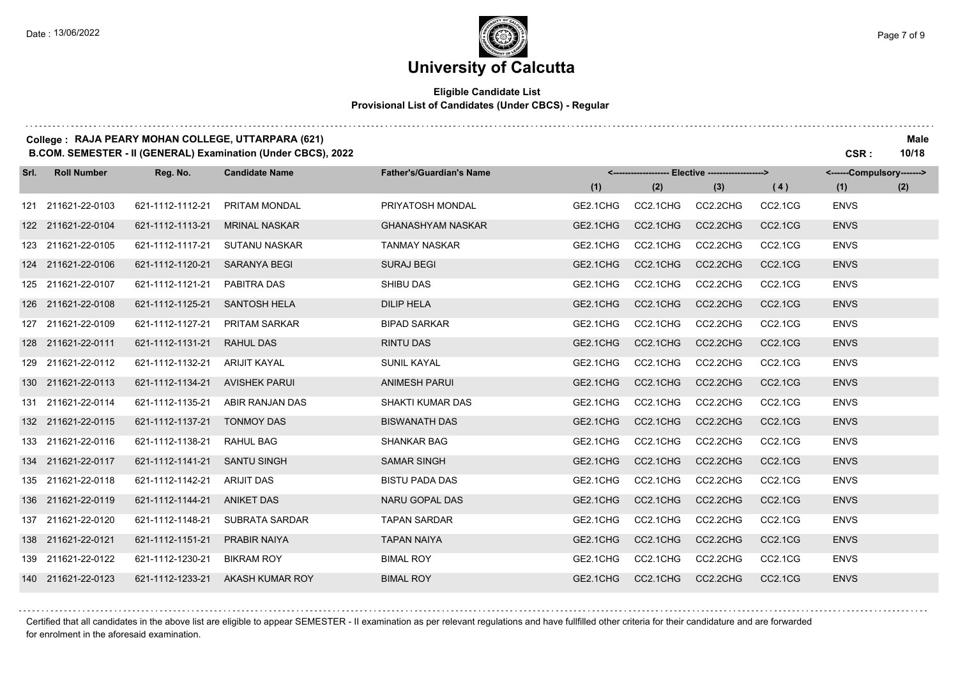#### **Eligible Candidate List Provisional List of Candidates (Under CBCS) - Regular**

#### **College : RAJA PEARY MOHAN COLLEGE, UTTARPARA (621) Male B.COM. SEMESTER - II (GENERAL) Examination (Under CBCS), 2022 CSR : 10/18**

| Srl. | <b>Roll Number</b> | Reg. No.         | <b>Candidate Name</b> | <b>Father's/Guardian's Name</b> |          |          | --- Elective --------------------> |                                  | <------Compulsory-------> |     |
|------|--------------------|------------------|-----------------------|---------------------------------|----------|----------|------------------------------------|----------------------------------|---------------------------|-----|
|      |                    |                  |                       |                                 | (1)      | (2)      | (3)                                | (4)                              | (1)                       | (2) |
|      | 121 211621-22-0103 | 621-1112-1112-21 | PRITAM MONDAL         | PRIYATOSH MONDAL                | GE2.1CHG | CC2.1CHG | CC2.2CHG                           | CC2.1CG                          | <b>ENVS</b>               |     |
|      | 122 211621-22-0104 | 621-1112-1113-21 | <b>MRINAL NASKAR</b>  | <b>GHANASHYAM NASKAR</b>        | GE2.1CHG | CC2.1CHG | CC2.2CHG                           | CC2.1CG                          | <b>ENVS</b>               |     |
|      | 123 211621-22-0105 | 621-1112-1117-21 | <b>SUTANU NASKAR</b>  | <b>TANMAY NASKAR</b>            | GE2.1CHG | CC2.1CHG | CC2.2CHG                           | CC2.1CG                          | <b>ENVS</b>               |     |
|      | 124 211621-22-0106 | 621-1112-1120-21 | <b>SARANYA BEGI</b>   | <b>SURAJ BEGI</b>               | GE2.1CHG | CC2.1CHG | CC2.2CHG                           | CC2.1CG                          | <b>ENVS</b>               |     |
|      | 125 211621-22-0107 | 621-1112-1121-21 | PABITRA DAS           | <b>SHIBU DAS</b>                | GE2.1CHG | CC2.1CHG | CC2.2CHG                           | CC2.1CG                          | <b>ENVS</b>               |     |
|      | 126 211621-22-0108 | 621-1112-1125-21 | <b>SANTOSH HELA</b>   | <b>DILIP HELA</b>               | GE2.1CHG | CC2.1CHG | CC2.2CHG                           | CC2.1CG                          | <b>ENVS</b>               |     |
|      | 127 211621-22-0109 | 621-1112-1127-21 | <b>PRITAM SARKAR</b>  | <b>BIPAD SARKAR</b>             | GE2.1CHG | CC2.1CHG | CC2.2CHG                           | CC2.1CG                          | <b>ENVS</b>               |     |
|      | 128 211621-22-0111 | 621-1112-1131-21 | <b>RAHUL DAS</b>      | <b>RINTU DAS</b>                | GE2.1CHG | CC2.1CHG | CC2.2CHG                           | CC2.1CG                          | <b>ENVS</b>               |     |
|      | 129 211621-22-0112 | 621-1112-1132-21 | <b>ARIJIT KAYAL</b>   | <b>SUNIL KAYAL</b>              | GE2.1CHG | CC2.1CHG | CC2.2CHG                           | CC2.1CG                          | <b>ENVS</b>               |     |
|      | 130 211621-22-0113 | 621-1112-1134-21 | <b>AVISHEK PARUI</b>  | <b>ANIMESH PARUI</b>            | GE2.1CHG | CC2.1CHG | CC2.2CHG                           | CC2.1CG                          | <b>ENVS</b>               |     |
|      | 131 211621-22-0114 | 621-1112-1135-21 | ABIR RANJAN DAS       | SHAKTI KUMAR DAS                | GE2.1CHG | CC2.1CHG | CC2.2CHG                           | CC2.1CG                          | <b>ENVS</b>               |     |
|      | 132 211621-22-0115 | 621-1112-1137-21 | <b>TONMOY DAS</b>     | <b>BISWANATH DAS</b>            | GE2.1CHG | CC2.1CHG | CC2.2CHG                           | CC2.1CG                          | <b>ENVS</b>               |     |
|      | 133 211621-22-0116 | 621-1112-1138-21 | RAHUL BAG             | <b>SHANKAR BAG</b>              | GE2.1CHG | CC2.1CHG | CC2.2CHG                           | CC2.1CG                          | <b>ENVS</b>               |     |
|      | 134 211621-22-0117 | 621-1112-1141-21 | <b>SANTU SINGH</b>    | <b>SAMAR SINGH</b>              | GE2.1CHG | CC2.1CHG | CC2.2CHG                           | CC2.1CG                          | <b>ENVS</b>               |     |
|      | 135 211621-22-0118 | 621-1112-1142-21 | <b>ARIJIT DAS</b>     | <b>BISTU PADA DAS</b>           | GE2.1CHG | CC2.1CHG | CC2.2CHG                           | CC2.1CG                          | <b>ENVS</b>               |     |
|      | 136 211621-22-0119 | 621-1112-1144-21 | <b>ANIKET DAS</b>     | <b>NARU GOPAL DAS</b>           | GE2.1CHG | CC2.1CHG | CC2.2CHG                           | CC <sub>2.1</sub> C <sub>G</sub> | <b>ENVS</b>               |     |
|      | 137 211621-22-0120 | 621-1112-1148-21 | SUBRATA SARDAR        | <b>TAPAN SARDAR</b>             | GE2.1CHG | CC2.1CHG | CC2.2CHG                           | CC2.1CG                          | <b>ENVS</b>               |     |
|      | 138 211621-22-0121 | 621-1112-1151-21 | <b>PRABIR NAIYA</b>   | <b>TAPAN NAIYA</b>              | GE2.1CHG | CC2.1CHG | CC2.2CHG                           | CC2.1CG                          | <b>ENVS</b>               |     |
|      | 139 211621-22-0122 | 621-1112-1230-21 | <b>BIKRAM ROY</b>     | <b>BIMAL ROY</b>                | GE2.1CHG | CC2.1CHG | CC2.2CHG                           | CC2.1CG                          | <b>ENVS</b>               |     |
|      | 140 211621-22-0123 | 621-1112-1233-21 | AKASH KUMAR ROY       | <b>BIMAL ROY</b>                | GE2.1CHG | CC2.1CHG | CC2.2CHG                           | <b>CC2.1CG</b>                   | <b>ENVS</b>               |     |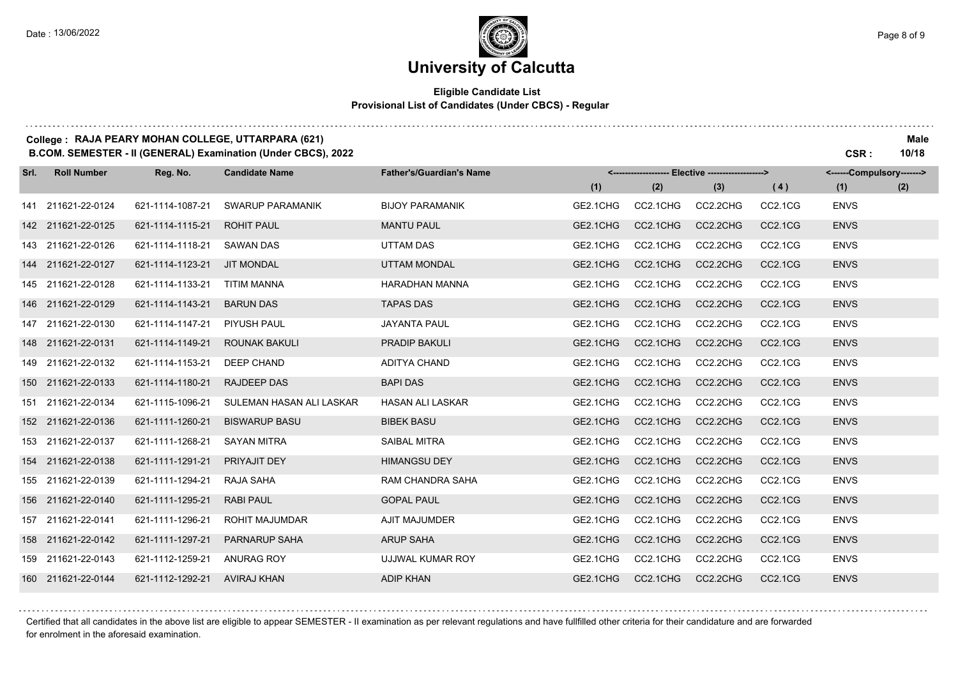#### **Eligible Candidate List Provisional List of Candidates (Under CBCS) - Regular**

### **College : RAJA PEARY MOHAN COLLEGE, UTTARPARA (621) Male**

**B.COM. SEMESTER - II (GENERAL) Examination (Under CBCS), 2022 CSR : 10/18 Reg. No. (1) (2) (3) Srl. Roll Number Candidate Name Father's/Guardian's Name <------------------- Elective -------------------> (1) (2) <------Compulsory-------> ( 4 )** 211621-22-0124 621-1114-1087-21 SWARUP PARAMANIK BIJOY PARAMANIK GE2.1CHG CC2.1CHG CC2.2CHG CC2.1CG ENVS 211621-22-0125 621-1114-1115-21 ROHIT PAUL MANTU PAUL GE2.1CHG CC2.1CHG CC2.2CHG CC2.1CG ENVS 211621-22-0126 621-1114-1118-21 SAWAN DAS UTTAM DAS GE2.1CHG CC2.1CHG CC2.2CHG CC2.1CG ENVS 211621-22-0127 621-1114-1123-21 JIT MONDAL UTTAM MONDAL GE2.1CHG CC2.1CHG CC2.2CHG CC2.1CG ENVS 211621-22-0128 621-1114-1133-21 TITIM MANNA HARADHAN MANNA GE2.1CHG CC2.1CHG CC2.2CHG CC2.1CG ENVS 211621-22-0129 621-1114-1143-21 BARUN DAS TAPAS DAS GE2.1CHG CC2.1CHG CC2.2CHG CC2.1CG ENVS 211621-22-0130 621-1114-1147-21 PIYUSH PAUL JAYANTA PAUL GE2.1CHG CC2.1CHG CC2.2CHG CC2.1CG ENVS 211621-22-0131 621-1114-1149-21 ROUNAK BAKULI PRADIP BAKULI GE2.1CHG CC2.1CHG CC2.2CHG CC2.1CG ENVS 211621-22-0132 621-1114-1153-21 DEEP CHAND ADITYA CHAND GE2.1CHG CC2.1CHG CC2.2CHG CC2.1CG ENVS 211621-22-0133 621-1114-1180-21 RAJDEEP DAS BAPI DAS GE2.1CHG CC2.1CHG CC2.2CHG CC2.1CG ENVS 211621-22-0134 621-1115-1096-21 SULEMAN HASAN ALI LASKAR HASAN ALI LASKAR GE2.1CHG CC2.1CHG CC2.2CHG CC2.1CG ENVS 211621-22-0136 621-1111-1260-21 BISWARUP BASU BIBEK BASU GE2.1CHG CC2.1CHG CC2.2CHG CC2.1CG ENVS 211621-22-0137 621-1111-1268-21 SAYAN MITRA SAIBAL MITRA GE2.1CHG CC2.1CHG CC2.2CHG CC2.1CG ENVS 211621-22-0138 621-1111-1291-21 PRIYAJIT DEY HIMANGSU DEY GE2.1CHG CC2.1CHG CC2.2CHG CC2.1CG ENVS 211621-22-0139 621-1111-1294-21 RAJA SAHA RAM CHANDRA SAHA GE2.1CHG CC2.1CHG CC2.2CHG CC2.1CG ENVS 211621-22-0140 621-1111-1295-21 RABI PAUL GOPAL PAUL GE2.1CHG CC2.1CHG CC2.2CHG CC2.1CG ENVS 211621-22-0141 621-1111-1296-21 ROHIT MAJUMDAR AJIT MAJUMDER GE2.1CHG CC2.1CHG CC2.2CHG CC2.1CG ENVS 211621-22-0142 621-1111-1297-21 PARNARUP SAHA ARUP SAHA GE2.1CHG CC2.1CHG CC2.2CHG CC2.1CG ENVS 211621-22-0143 621-1112-1259-21 ANURAG ROY UJJWAL KUMAR ROY GE2.1CHG CC2.1CHG CC2.2CHG CC2.1CG ENVS 211621-22-0144 621-1112-1292-21 AVIRAJ KHAN ADIP KHAN GE2.1CHG CC2.1CHG CC2.2CHG CC2.1CG ENVS

Certified that all candidates in the above list are eligible to appear SEMESTER - II examination as per relevant regulations and have fullfilled other criteria for their candidature and are forwarded for enrolment in the aforesaid examination.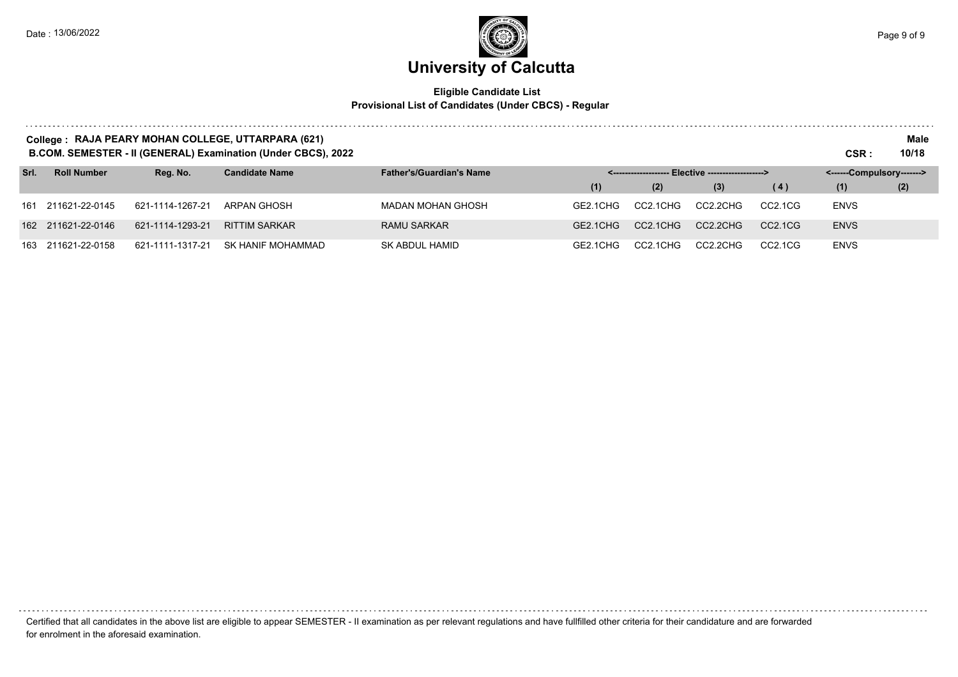

#### **Eligible Candidate List Provisional List of Candidates (Under CBCS) - Regular**

|      | College: RAJA PEARY MOHAN COLLEGE, UTTARPARA (621)<br><b>B.COM. SEMESTER - II (GENERAL) Examination (Under CBCS), 2022</b> |                  |                       |                                 |          |          |                                                   |                                  |                           |     |
|------|----------------------------------------------------------------------------------------------------------------------------|------------------|-----------------------|---------------------------------|----------|----------|---------------------------------------------------|----------------------------------|---------------------------|-----|
| Srl. | <b>Roll Number</b>                                                                                                         | Reg. No.         | <b>Candidate Name</b> | <b>Father's/Guardian's Name</b> |          |          | <------------------- Elective ------------------> |                                  | <------Compulsory-------> |     |
|      |                                                                                                                            |                  |                       |                                 | (1)      | (2)      | (3)                                               | (4)                              | (1)                       | (2) |
|      | 161 211621-22-0145                                                                                                         | 621-1114-1267-21 | ARPAN GHOSH           | <b>MADAN MOHAN GHOSH</b>        | GF2 1CHG | CC2.1CHG | CC2.2CHG                                          | CC <sub>2.1</sub> C <sub>G</sub> | <b>ENVS</b>               |     |
|      | 162 211621-22-0146                                                                                                         | 621-1114-1293-21 | <b>RITTIM SARKAR</b>  | <b>RAMU SARKAR</b>              | GE2.1CHG | CC2.1CHG | CC2.2CHG                                          | CC2.1CG                          | <b>ENVS</b>               |     |
|      | 163 211621-22-0158                                                                                                         | 621-1111-1317-21 | SK HANIF MOHAMMAD     | SK ABDUL HAMID                  | GF2 1CHG | CC2.1CHG | CC2.2CHG                                          | CC <sub>2.1</sub> C <sub>G</sub> | <b>ENVS</b>               |     |

Certified that all candidates in the above list are eligible to appear SEMESTER - II examination as per relevant regulations and have fullfilled other criteria for their candidature and are forwarded for enrolment in the aforesaid examination.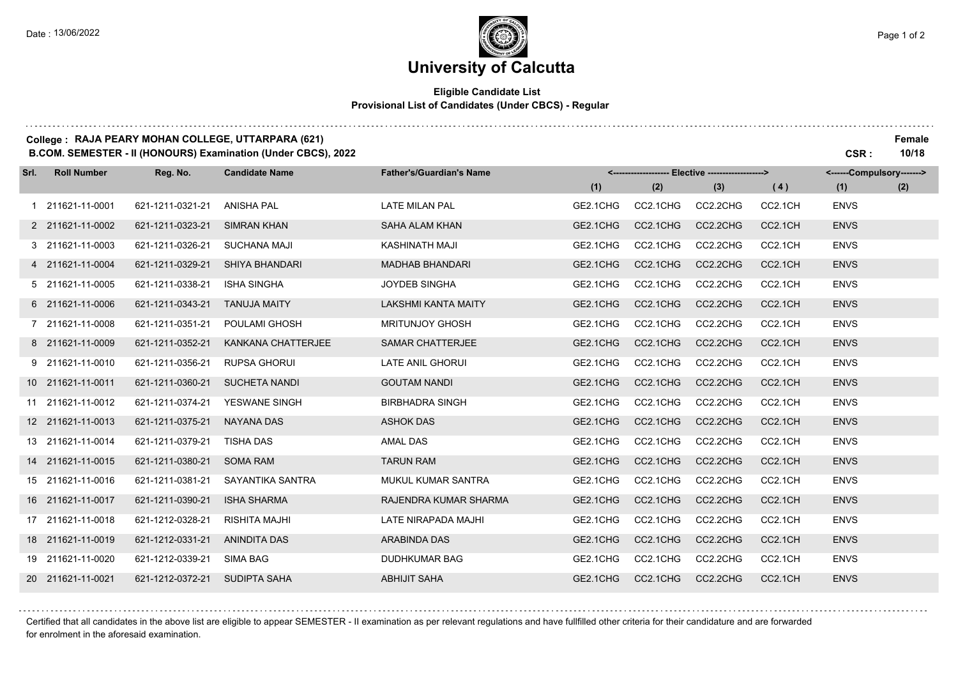and a strategic and

### **University of Calcutta**

#### **Eligible Candidate List Provisional List of Candidates (Under CBCS) - Regular**

### **College : RAJA PEARY MOHAN COLLEGE, UTTARPARA (621) Female**

**B.COM. SEMESTER - II (HONOURS) Examination (Under CBCS), 2022 CSR : 10/18**

| Srl. | <b>Roll Number</b> | Reg. No.         | <b>Candidate Name</b>     | <b>Father's/Guardian's Name</b> | <------------------- Elective ------------------> |          |          |         | <------Compulsory-------> |     |
|------|--------------------|------------------|---------------------------|---------------------------------|---------------------------------------------------|----------|----------|---------|---------------------------|-----|
|      |                    |                  |                           |                                 | (1)                                               | (2)      | (3)      | (4)     | (1)                       | (2) |
|      | 211621-11-0001     | 621-1211-0321-21 | <b>ANISHA PAL</b>         | <b>LATE MILAN PAL</b>           | GE2.1CHG                                          | CC2.1CHG | CC2.2CHG | CC2.1CH | <b>ENVS</b>               |     |
|      | 2 211621-11-0002   | 621-1211-0323-21 | <b>SIMRAN KHAN</b>        | <b>SAHA ALAM KHAN</b>           | GE2.1CHG                                          | CC2.1CHG | CC2.2CHG | CC2.1CH | <b>ENVS</b>               |     |
|      | 3 211621-11-0003   | 621-1211-0326-21 | <b>SUCHANA MAJI</b>       | KASHINATH MAJI                  | GE2.1CHG                                          | CC2.1CHG | CC2.2CHG | CC2.1CH | <b>ENVS</b>               |     |
|      | 4 211621-11-0004   | 621-1211-0329-21 | <b>SHIYA BHANDARI</b>     | <b>MADHAB BHANDARI</b>          | GE2.1CHG                                          | CC2.1CHG | CC2.2CHG | CC2.1CH | <b>ENVS</b>               |     |
|      | 5 211621-11-0005   | 621-1211-0338-21 | <b>ISHA SINGHA</b>        | <b>JOYDEB SINGHA</b>            | GE2.1CHG                                          | CC2.1CHG | CC2.2CHG | CC2.1CH | <b>ENVS</b>               |     |
|      | 6 211621-11-0006   | 621-1211-0343-21 | <b>TANUJA MAITY</b>       | <b>LAKSHMI KANTA MAITY</b>      | GE2.1CHG                                          | CC2.1CHG | CC2.2CHG | CC2.1CH | <b>ENVS</b>               |     |
|      | 7 211621-11-0008   | 621-1211-0351-21 | POULAMI GHOSH             | <b>MRITUNJOY GHOSH</b>          | GE2.1CHG                                          | CC2.1CHG | CC2.2CHG | CC2.1CH | <b>ENVS</b>               |     |
|      | 8 211621-11-0009   | 621-1211-0352-21 | <b>KANKANA CHATTERJEE</b> | <b>SAMAR CHATTERJEE</b>         | GE2.1CHG                                          | CC2.1CHG | CC2.2CHG | CC2.1CH | <b>ENVS</b>               |     |
|      | 9 211621-11-0010   | 621-1211-0356-21 | <b>RUPSA GHORUI</b>       | <b>LATE ANIL GHORUI</b>         | GE2.1CHG                                          | CC2.1CHG | CC2.2CHG | CC2.1CH | <b>ENVS</b>               |     |
|      | 10 211621-11-0011  | 621-1211-0360-21 | <b>SUCHETA NANDI</b>      | <b>GOUTAM NANDI</b>             | GE2.1CHG                                          | CC2.1CHG | CC2.2CHG | CC2.1CH | <b>ENVS</b>               |     |
|      | 11 211621-11-0012  | 621-1211-0374-21 | YESWANE SINGH             | <b>BIRBHADRA SINGH</b>          | GE2.1CHG                                          | CC2.1CHG | CC2.2CHG | CC2.1CH | <b>ENVS</b>               |     |
|      | 12 211621-11-0013  | 621-1211-0375-21 | <b>NAYANA DAS</b>         | <b>ASHOK DAS</b>                | GE2.1CHG                                          | CC2.1CHG | CC2.2CHG | CC2.1CH | <b>ENVS</b>               |     |
|      | 13 211621-11-0014  | 621-1211-0379-21 | <b>TISHA DAS</b>          | AMAL DAS                        | GE2.1CHG                                          | CC2.1CHG | CC2.2CHG | CC2.1CH | <b>ENVS</b>               |     |
|      | 14 211621-11-0015  | 621-1211-0380-21 | <b>SOMA RAM</b>           | <b>TARUN RAM</b>                | GE2.1CHG                                          | CC2.1CHG | CC2.2CHG | CC2.1CH | <b>ENVS</b>               |     |
|      | 15 211621-11-0016  | 621-1211-0381-21 | SAYANTIKA SANTRA          | MUKUL KUMAR SANTRA              | GE2.1CHG                                          | CC2.1CHG | CC2.2CHG | CC2.1CH | <b>ENVS</b>               |     |
|      | 16 211621-11-0017  | 621-1211-0390-21 | <b>ISHA SHARMA</b>        | RAJENDRA KUMAR SHARMA           | GE2.1CHG                                          | CC2.1CHG | CC2.2CHG | CC2.1CH | <b>ENVS</b>               |     |
|      | 17 211621-11-0018  | 621-1212-0328-21 | <b>RISHITA MAJHI</b>      | LATE NIRAPADA MAJHI             | GE2.1CHG                                          | CC2.1CHG | CC2.2CHG | CC2.1CH | <b>ENVS</b>               |     |
|      | 18 211621-11-0019  | 621-1212-0331-21 | <b>ANINDITA DAS</b>       | ARABINDA DAS                    | GE2.1CHG                                          | CC2.1CHG | CC2.2CHG | CC2.1CH | <b>ENVS</b>               |     |
|      | 19 211621-11-0020  | 621-1212-0339-21 | SIMA BAG                  | <b>DUDHKUMAR BAG</b>            | GE2.1CHG                                          | CC2.1CHG | CC2.2CHG | CC2.1CH | <b>ENVS</b>               |     |
|      | 20 211621-11-0021  | 621-1212-0372-21 | <b>SUDIPTA SAHA</b>       | <b>ABHIJIT SAHA</b>             | GE2.1CHG                                          | CC2.1CHG | CC2.2CHG | CC2.1CH | <b>ENVS</b>               |     |

Certified that all candidates in the above list are eligible to appear SEMESTER - II examination as per relevant regulations and have fullfilled other criteria for their candidature and are forwarded for enrolment in the aforesaid examination.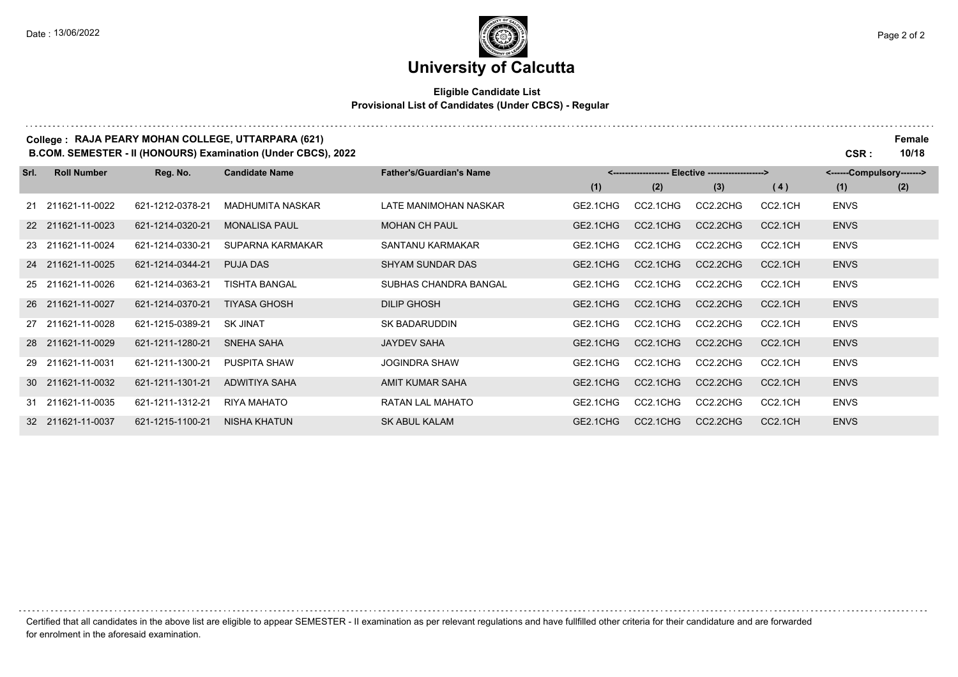# **University of Calcutta**

#### **Eligible Candidate List Provisional List of Candidates (Under CBCS) - Regular**

|      |                    |                  | College: RAJA PEARY MOHAN COLLEGE, UTTARPARA (621)<br><b>B.COM. SEMESTER - II (HONOURS) Examination (Under CBCS), 2022</b> |                                 |          |          |                                |                     | CSR :                     | Female<br>10/18 |
|------|--------------------|------------------|----------------------------------------------------------------------------------------------------------------------------|---------------------------------|----------|----------|--------------------------------|---------------------|---------------------------|-----------------|
| Srl. | <b>Roll Number</b> | Reg. No.         | <b>Candidate Name</b>                                                                                                      | <b>Father's/Guardian's Name</b> |          |          | Elective --------------------> |                     | <------Compulsory-------> |                 |
|      |                    |                  |                                                                                                                            |                                 | (1)      | (2)      | (3)                            | (4)                 | (1)                       | (2)             |
|      | 21 211621-11-0022  | 621-1212-0378-21 | <b>MADHUMITA NASKAR</b>                                                                                                    | LATE MANIMOHAN NASKAR           | GE2.1CHG | CC2.1CHG | CC2.2CHG                       | CC2.1CH             | <b>ENVS</b>               |                 |
|      | 22 211621-11-0023  | 621-1214-0320-21 | <b>MONALISA PAUL</b>                                                                                                       | <b>MOHAN CH PAUL</b>            | GE2.1CHG | CC2.1CHG | CC2.2CHG                       | CC2.1CH             | <b>ENVS</b>               |                 |
|      | 23 211621-11-0024  | 621-1214-0330-21 | SUPARNA KARMAKAR                                                                                                           | SANTANU KARMAKAR                | GE2.1CHG | CC2.1CHG | CC2.2CHG                       | CC2.1CH             | <b>ENVS</b>               |                 |
|      | 24 211621-11-0025  | 621-1214-0344-21 | <b>PUJA DAS</b>                                                                                                            | <b>SHYAM SUNDAR DAS</b>         | GE2.1CHG | CC2.1CHG | CC2.2CHG                       | CC2.1CH             | <b>ENVS</b>               |                 |
|      | 25 211621-11-0026  | 621-1214-0363-21 | <b>TISHTA BANGAL</b>                                                                                                       | SUBHAS CHANDRA BANGAL           | GE2.1CHG | CC2.1CHG | CC2.2CHG                       | CC2.1CH             | <b>ENVS</b>               |                 |
|      | 26 211621-11-0027  | 621-1214-0370-21 | <b>TIYASA GHOSH</b>                                                                                                        | <b>DILIP GHOSH</b>              | GE2.1CHG | CC2.1CHG | CC2.2CHG                       | CC <sub>2.1CH</sub> | <b>ENVS</b>               |                 |
|      | 27 211621-11-0028  | 621-1215-0389-21 | <b>SK JINAT</b>                                                                                                            | <b>SK BADARUDDIN</b>            | GE2.1CHG | CC2.1CHG | CC2.2CHG                       | CC2.1CH             | <b>ENVS</b>               |                 |
|      | 28 211621-11-0029  | 621-1211-1280-21 | <b>SNEHA SAHA</b>                                                                                                          | <b>JAYDEV SAHA</b>              | GE2.1CHG | CC2.1CHG | CC2.2CHG                       | CC2.1CH             | <b>ENVS</b>               |                 |
|      | 29 211621-11-0031  | 621-1211-1300-21 | <b>PUSPITA SHAW</b>                                                                                                        | <b>JOGINDRA SHAW</b>            | GE2.1CHG | CC2.1CHG | CC2.2CHG                       | CC2.1CH             | <b>ENVS</b>               |                 |
|      | 30 211621-11-0032  | 621-1211-1301-21 | ADWITIYA SAHA                                                                                                              | AMIT KUMAR SAHA                 | GE2.1CHG | CC2.1CHG | CC2.2CHG                       | CC2.1CH             | <b>ENVS</b>               |                 |
|      | 31 211621-11-0035  | 621-1211-1312-21 | <b>RIYA MAHATO</b>                                                                                                         | <b>RATAN LAL MAHATO</b>         | GE2.1CHG | CC2.1CHG | CC2.2CHG                       | CC2.1CH             | <b>ENVS</b>               |                 |
|      | 32 211621-11-0037  | 621-1215-1100-21 | <b>NISHA KHATUN</b>                                                                                                        | <b>SK ABUL KALAM</b>            | GE2.1CHG | CC2.1CHG | CC2.2CHG                       | CC2.1CH             | <b>ENVS</b>               |                 |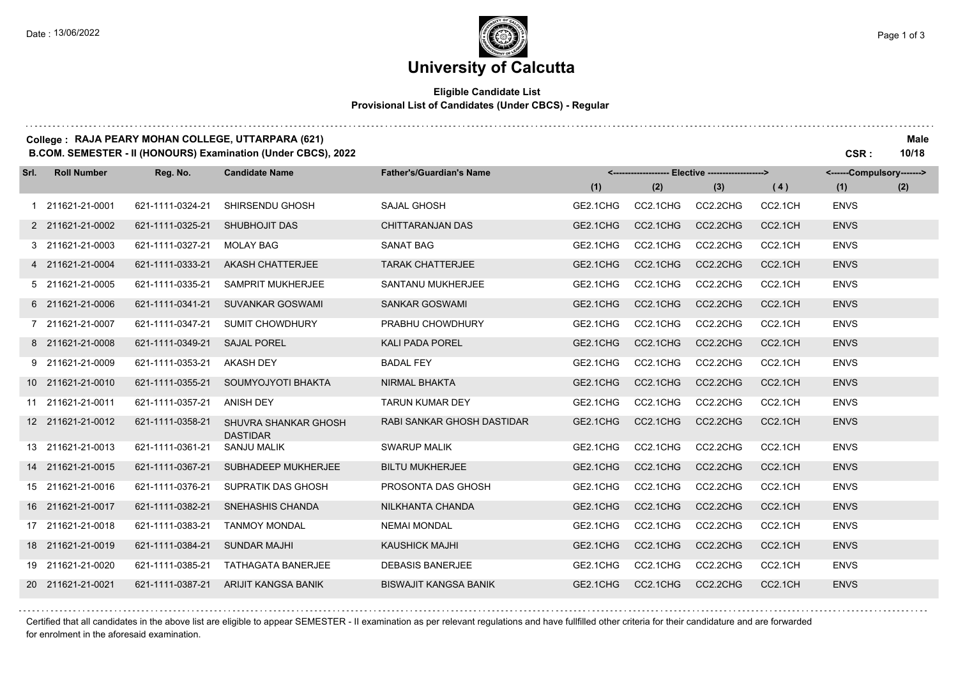. . . . . . . .

# **University of Calcutta**

#### **Eligible Candidate List Provisional List of Candidates (Under CBCS) - Regular**

#### **College : RAJA PEARY MOHAN COLLEGE, UTTARPARA (621) Male**

**B.COM. SEMESTER - II (HONOURS) Examination (Under CBCS), 2022 CSR : 10/18**

| Srl. | <b>Roll Number</b> | Reg. No.         | <b>Candidate Name</b>                   | <b>Father's/Guardian's Name</b> | <-------------------- Elective -------------------> |          |          |         | <------Compulsory-------> |     |
|------|--------------------|------------------|-----------------------------------------|---------------------------------|-----------------------------------------------------|----------|----------|---------|---------------------------|-----|
|      |                    |                  |                                         |                                 | (1)                                                 | (2)      | (3)      | (4)     | (1)                       | (2) |
|      | 1 211621-21-0001   | 621-1111-0324-21 | SHIRSENDU GHOSH                         | <b>SAJAL GHOSH</b>              | GE2.1CHG                                            | CC2.1CHG | CC2.2CHG | CC2.1CH | <b>ENVS</b>               |     |
|      | 2 211621-21-0002   | 621-1111-0325-21 | SHUBHOJIT DAS                           | <b>CHITTARANJAN DAS</b>         | GE2.1CHG                                            | CC2.1CHG | CC2.2CHG | CC2.1CH | <b>ENVS</b>               |     |
|      | 3 211621-21-0003   | 621-1111-0327-21 | <b>MOLAY BAG</b>                        | <b>SANAT BAG</b>                | GE2.1CHG                                            | CC2.1CHG | CC2.2CHG | CC2.1CH | <b>ENVS</b>               |     |
|      | 4 211621-21-0004   | 621-1111-0333-21 | <b>AKASH CHATTERJEE</b>                 | <b>TARAK CHATTERJEE</b>         | GE2.1CHG                                            | CC2.1CHG | CC2.2CHG | CC2.1CH | <b>ENVS</b>               |     |
|      | 5 211621-21-0005   | 621-1111-0335-21 | <b>SAMPRIT MUKHERJEE</b>                | SANTANU MUKHERJEE               | GE2.1CHG                                            | CC2.1CHG | CC2.2CHG | CC2.1CH | <b>ENVS</b>               |     |
|      | 6 211621-21-0006   | 621-1111-0341-21 | <b>SUVANKAR GOSWAMI</b>                 | <b>SANKAR GOSWAMI</b>           | GE2.1CHG                                            | CC2.1CHG | CC2.2CHG | CC2.1CH | <b>ENVS</b>               |     |
|      | 7 211621-21-0007   | 621-1111-0347-21 | <b>SUMIT CHOWDHURY</b>                  | PRABHU CHOWDHURY                | GE2.1CHG                                            | CC2.1CHG | CC2.2CHG | CC2.1CH | <b>ENVS</b>               |     |
|      | 8 211621-21-0008   | 621-1111-0349-21 | <b>SAJAL POREL</b>                      | <b>KALI PADA POREL</b>          | GE2.1CHG                                            | CC2.1CHG | CC2.2CHG | CC2.1CH | <b>ENVS</b>               |     |
|      | 9 211621-21-0009   | 621-1111-0353-21 | <b>AKASH DEY</b>                        | <b>BADAL FEY</b>                | GE2.1CHG                                            | CC2.1CHG | CC2.2CHG | CC2.1CH | <b>ENVS</b>               |     |
|      | 10 211621-21-0010  | 621-1111-0355-21 | SOUMYOJYOTI BHAKTA                      | <b>NIRMAL BHAKTA</b>            | GE2.1CHG                                            | CC2.1CHG | CC2.2CHG | CC2.1CH | <b>ENVS</b>               |     |
|      | 11 211621-21-0011  | 621-1111-0357-21 | <b>ANISH DEY</b>                        | <b>TARUN KUMAR DEY</b>          | GE2.1CHG                                            | CC2.1CHG | CC2.2CHG | CC2.1CH | <b>ENVS</b>               |     |
|      | 12 211621-21-0012  | 621-1111-0358-21 | SHUVRA SHANKAR GHOSH<br><b>DASTIDAR</b> | RABI SANKAR GHOSH DASTIDAR      | GE2.1CHG                                            | CC2.1CHG | CC2.2CHG | CC2.1CH | <b>ENVS</b>               |     |
|      | 13 211621-21-0013  | 621-1111-0361-21 | <b>SANJU MALIK</b>                      | <b>SWARUP MALIK</b>             | GE2.1CHG                                            | CC2.1CHG | CC2.2CHG | CC2.1CH | <b>ENVS</b>               |     |
|      | 14 211621-21-0015  | 621-1111-0367-21 | SUBHADEEP MUKHERJEE                     | <b>BILTU MUKHERJEE</b>          | GE2.1CHG                                            | CC2.1CHG | CC2.2CHG | CC2.1CH | <b>ENVS</b>               |     |
|      | 15 211621-21-0016  | 621-1111-0376-21 | <b>SUPRATIK DAS GHOSH</b>               | PROSONTA DAS GHOSH              | GE2.1CHG                                            | CC2.1CHG | CC2.2CHG | CC2.1CH | <b>ENVS</b>               |     |
|      | 16 211621-21-0017  | 621-1111-0382-21 | SNEHASHIS CHANDA                        | NILKHANTA CHANDA                | GE2.1CHG                                            | CC2.1CHG | CC2.2CHG | CC2.1CH | <b>ENVS</b>               |     |
|      | 17 211621-21-0018  | 621-1111-0383-21 | <b>TANMOY MONDAL</b>                    | <b>NEMAI MONDAL</b>             | GE2.1CHG                                            | CC2.1CHG | CC2.2CHG | CC2.1CH | <b>ENVS</b>               |     |
|      | 18 211621-21-0019  | 621-1111-0384-21 | <b>SUNDAR MAJHI</b>                     | <b>KAUSHICK MAJHI</b>           | GE2.1CHG                                            | CC2.1CHG | CC2.2CHG | CC2.1CH | <b>ENVS</b>               |     |
|      | 19 211621-21-0020  | 621-1111-0385-21 | <b>TATHAGATA BANERJEE</b>               | <b>DEBASIS BANERJEE</b>         | GE2.1CHG                                            | CC2.1CHG | CC2.2CHG | CC2.1CH | <b>ENVS</b>               |     |
|      | 20 211621-21-0021  | 621-1111-0387-21 | ARIJIT KANGSA BANIK                     | <b>BISWAJIT KANGSA BANIK</b>    | GE2.1CHG                                            | CC2.1CHG | CC2.2CHG | CC2.1CH | <b>ENVS</b>               |     |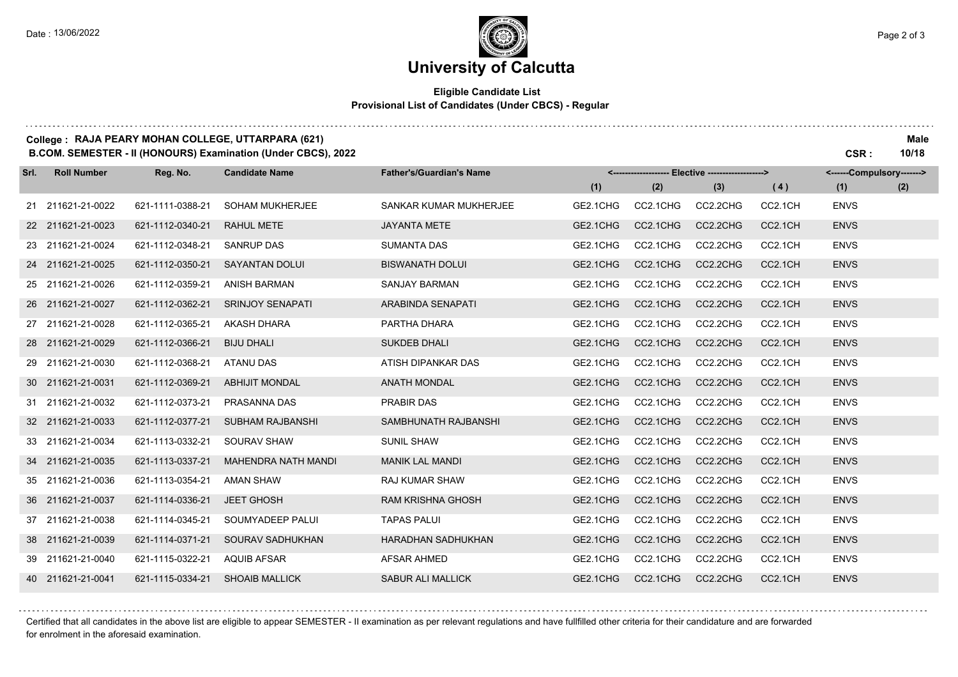. . . . . . . .

# **University of Calcutta**

#### **Eligible Candidate List Provisional List of Candidates (Under CBCS) - Regular**

### **College : RAJA PEARY MOHAN COLLEGE, UTTARPARA (621) Male**

**B.COM. SEMESTER - II (HONOURS) Examination (Under CBCS), 2022 CSR : 10/18**

| Srl. | <b>Roll Number</b> | Reg. No.         | <b>Candidate Name</b>      | <b>Father's/Guardian's Name</b> | <------------------- Elective ------------------> |          |          |                      | <------Compulsory-------> |     |
|------|--------------------|------------------|----------------------------|---------------------------------|---------------------------------------------------|----------|----------|----------------------|---------------------------|-----|
|      |                    |                  |                            |                                 | (1)                                               | (2)      | (3)      | (4)                  | (1)                       | (2) |
|      | 21 211621-21-0022  | 621-1111-0388-21 | <b>SOHAM MUKHERJEE</b>     | SANKAR KUMAR MUKHERJEE          | GE2.1CHG                                          | CC2.1CHG | CC2.2CHG | CC2.1CH              | <b>ENVS</b>               |     |
|      | 22 211621-21-0023  | 621-1112-0340-21 | <b>RAHUL METE</b>          | <b>JAYANTA METE</b>             | GE2.1CHG                                          | CC2.1CHG | CC2.2CHG | CC2.1CH              | <b>ENVS</b>               |     |
|      | 23 211621-21-0024  | 621-1112-0348-21 | <b>SANRUP DAS</b>          | <b>SUMANTA DAS</b>              | GE2.1CHG                                          | CC2.1CHG | CC2.2CHG | CC2.1CH              | <b>ENVS</b>               |     |
|      | 24 211621-21-0025  | 621-1112-0350-21 | <b>SAYANTAN DOLUI</b>      | <b>BISWANATH DOLUI</b>          | GE2.1CHG                                          | CC2.1CHG | CC2.2CHG | CC2.1CH              | <b>ENVS</b>               |     |
|      | 25 211621-21-0026  | 621-1112-0359-21 | <b>ANISH BARMAN</b>        | SANJAY BARMAN                   | GE2.1CHG                                          | CC2.1CHG | CC2.2CHG | CC2.1CH              | <b>ENVS</b>               |     |
|      | 26 211621-21-0027  | 621-1112-0362-21 | <b>SRINJOY SENAPATI</b>    | ARABINDA SENAPATI               | GE2.1CHG                                          | CC2.1CHG | CC2.2CHG | CC2.1CH              | <b>ENVS</b>               |     |
|      | 27 211621-21-0028  | 621-1112-0365-21 | <b>AKASH DHARA</b>         | PARTHA DHARA                    | GE2.1CHG                                          | CC2.1CHG | CC2.2CHG | CC2.1CH              | <b>ENVS</b>               |     |
|      | 28 211621-21-0029  | 621-1112-0366-21 | <b>BIJU DHALI</b>          | <b>SUKDEB DHALI</b>             | GE2.1CHG                                          | CC2.1CHG | CC2.2CHG | CC2.1CH              | <b>ENVS</b>               |     |
|      | 29 211621-21-0030  | 621-1112-0368-21 | <b>ATANU DAS</b>           | ATISH DIPANKAR DAS              | GE2.1CHG                                          | CC2.1CHG | CC2.2CHG | CC2.1CH              | <b>ENVS</b>               |     |
|      | 30 211621-21-0031  | 621-1112-0369-21 | <b>ABHIJIT MONDAL</b>      | <b>ANATH MONDAL</b>             | GE2.1CHG                                          | CC2.1CHG | CC2.2CHG | CC2.1CH              | <b>ENVS</b>               |     |
|      | 31 211621-21-0032  | 621-1112-0373-21 | PRASANNA DAS               | <b>PRABIR DAS</b>               | GE2.1CHG                                          | CC2.1CHG | CC2.2CHG | CC2.1CH              | <b>ENVS</b>               |     |
|      | 32 211621-21-0033  | 621-1112-0377-21 | <b>SUBHAM RAJBANSHI</b>    | SAMBHUNATH RAJBANSHI            | GE2.1CHG                                          | CC2.1CHG | CC2.2CHG | CC2.1CH              | <b>ENVS</b>               |     |
|      | 33 211621-21-0034  | 621-1113-0332-21 | SOURAV SHAW                | <b>SUNIL SHAW</b>               | GE2.1CHG                                          | CC2.1CHG | CC2.2CHG | CC2.1CH              | <b>ENVS</b>               |     |
|      | 34 211621-21-0035  | 621-1113-0337-21 | <b>MAHENDRA NATH MANDI</b> | <b>MANIK LAL MANDI</b>          | GE2.1CHG                                          | CC2.1CHG | CC2.2CHG | CC2.1CH              | <b>ENVS</b>               |     |
|      | 35 211621-21-0036  | 621-1113-0354-21 | <b>AMAN SHAW</b>           | <b>RAJ KUMAR SHAW</b>           | GE2.1CHG                                          | CC2.1CHG | CC2.2CHG | CC2.1CH              | <b>ENVS</b>               |     |
|      | 36 211621-21-0037  | 621-1114-0336-21 | <b>JEET GHOSH</b>          | <b>RAM KRISHNA GHOSH</b>        | GE2.1CHG                                          | CC2.1CHG | CC2.2CHG | CC2.1CH              | <b>ENVS</b>               |     |
|      | 37 211621-21-0038  | 621-1114-0345-21 | SOUMYADEEP PALUI           | <b>TAPAS PALUI</b>              | GE2.1CHG                                          | CC2.1CHG | CC2.2CHG | CC2.1CH              | <b>ENVS</b>               |     |
|      | 38 211621-21-0039  | 621-1114-0371-21 | SOURAV SADHUKHAN           | <b>HARADHAN SADHUKHAN</b>       | GE2.1CHG                                          | CC2.1CHG | CC2.2CHG | CC <sub>2.1</sub> CH | <b>ENVS</b>               |     |
|      | 39 211621-21-0040  | 621-1115-0322-21 | <b>AQUIB AFSAR</b>         | <b>AFSAR AHMED</b>              | GE2.1CHG                                          | CC2.1CHG | CC2.2CHG | CC2.1CH              | <b>ENVS</b>               |     |
|      | 40 211621-21-0041  | 621-1115-0334-21 | <b>SHOAIB MALLICK</b>      | <b>SABUR ALI MALLICK</b>        | GE2.1CHG                                          | CC2.1CHG | CC2.2CHG | CC2.1CH              | <b>ENVS</b>               |     |

Certified that all candidates in the above list are eligible to appear SEMESTER - II examination as per relevant regulations and have fullfilled other criteria for their candidature and are forwarded for enrolment in the aforesaid examination.